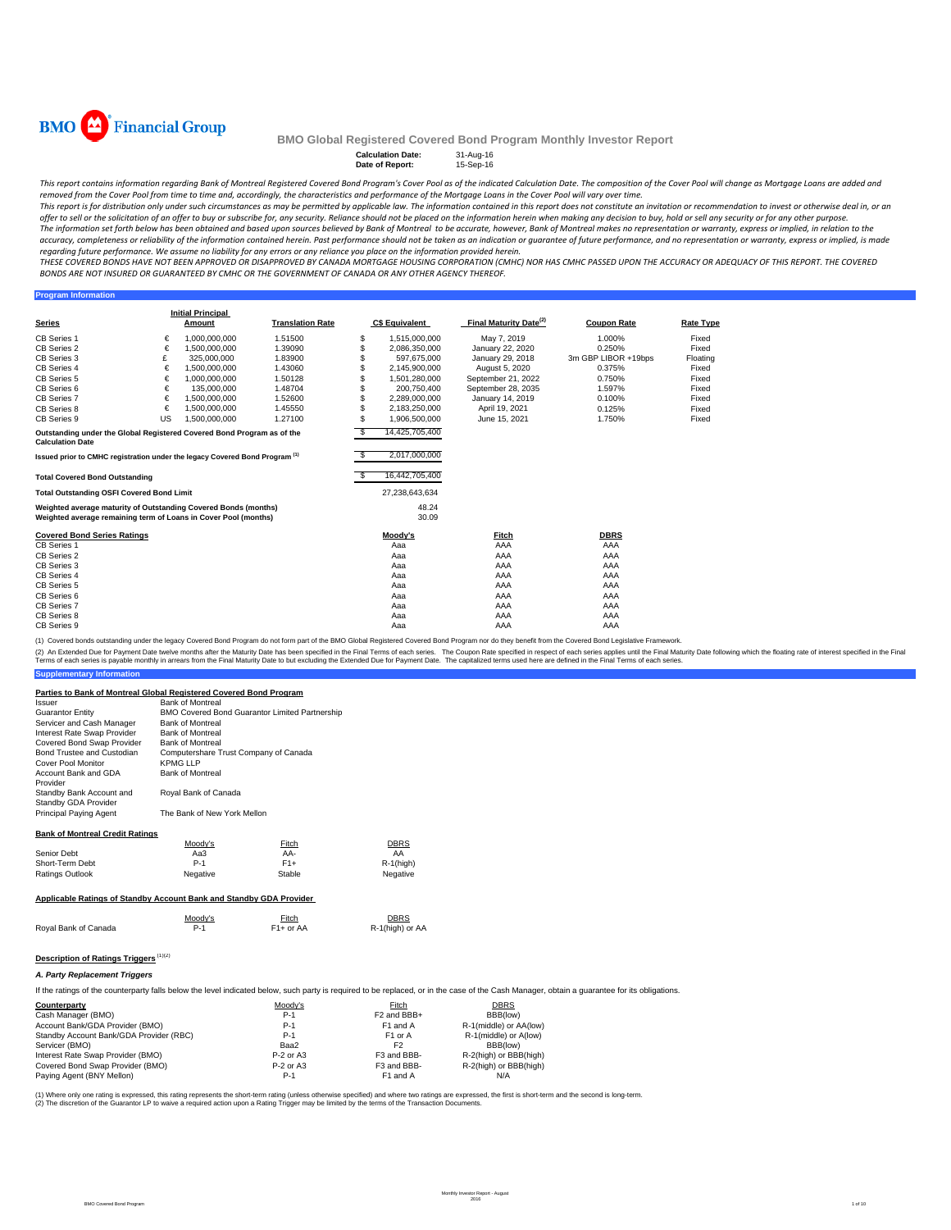

**Program Infor** 

## **BMO Global Registered Covered Bond Program Monthly Investor Report**

| <b>Calculation Date:</b> | 31-Aug-16 |
|--------------------------|-----------|
| Date of Report:          | 15-Sep-16 |

This report contains information regarding Bank of Montreal Registered Covered Bond Program's Cover Pool as of the indicated Calculation Date. The composition of the Cover Pool will change as Mortgage Loans are added and removed from the Cover Pool from time to time and, accordingly, the characteristics and performance of the Mortgage Loans in the Cover Pool will vary over time.

This report is for distribution only under such circumstances as may be permitted by applicable law. The information contained in this report does not constitute an invitation or recommendation to invest or otherwise deal offer to sell or the solicitation of an offer to buy or subscribe for, any security. Reliance should not be placed on the information herein when making any decision to buy, hold or sell any security or for any other purpo The information set forth below has been obtained and based upon sources believed by Bank of Montreal to be accurate, however, Bank of Montreal makes no representation or warranty, express or implied, in relation to the

accuracy, completeness or reliability of the information contained herein. Past performance should not be taken as an indication or guarantee of future performance, and no representation or warranty, express or implied, is THESE COVERED BONDS HAVE NOT BEEN APPROVED OR DISAPPROVED BY CANADA MORTGAGE HOUSING CORPORATION (CMHC) NOR HAS CMHC PASSED UPON THE ACCURACY OR ADEQUACY OF THIS REPORT. THE COVERED

BONDS ARE NOT INSURED OR GUARANTEED BY CMHC OR THE GOVERNMENT OF CANADA OR ANY OTHER AGENCY THEREOF.

| <b>Series</b>                                                                                                                                                                               |    | <b>Initial Principal</b><br>Amount | <b>Translation Rate</b> |           | <b>C\$ Equivalent</b>           | Final Maturity Date <sup>(2)</sup> | <b>Coupon Rate</b>  | <b>Rate Type</b> |
|---------------------------------------------------------------------------------------------------------------------------------------------------------------------------------------------|----|------------------------------------|-------------------------|-----------|---------------------------------|------------------------------------|---------------------|------------------|
| CB Series 1                                                                                                                                                                                 | €  | 1.000.000.000                      | 1.51500                 | S         | 1,515,000,000                   | May 7, 2019                        | 1.000%              | Fixed            |
| CB Series 2                                                                                                                                                                                 | €  | 1.500.000.000                      | 1.39090                 |           | 2,086,350,000                   | January 22, 2020                   | 0.250%              | Fixed            |
| CB Series 3                                                                                                                                                                                 | £  | 325,000,000                        | 1.83900                 |           | 597,675,000                     | January 29, 2018                   | 3m GBP LIBOR +19bps | Floating         |
| CB Series 4                                                                                                                                                                                 | €  | 1.500.000.000                      | 1.43060                 |           | 2,145,900,000                   | August 5, 2020                     | 0.375%              | Fixed            |
| CB Series 5                                                                                                                                                                                 | €  | 1,000,000,000                      | 1.50128                 |           | 1,501,280,000                   | September 21, 2022                 | 0.750%              | Fixed            |
| CB Series 6                                                                                                                                                                                 | €  | 135,000,000                        | 1.48704                 |           | 200.750.400                     | September 28, 2035                 | 1.597%              | Fixed            |
| CB Series 7                                                                                                                                                                                 | €  | 1,500,000,000                      | 1.52600                 |           | 2,289,000,000                   | January 14, 2019                   | 0.100%              | Fixed            |
| CB Series 8                                                                                                                                                                                 | €  | 1.500.000.000                      | 1.45550                 |           | 2.183.250.000                   | April 19, 2021                     | 0.125%              | Fixed            |
| CB Series 9                                                                                                                                                                                 | US | 1.500.000.000                      | 1.27100                 | \$        | 1,906,500,000                   | June 15, 2021                      | 1.750%              | Fixed            |
| Outstanding under the Global Registered Covered Bond Program as of the<br><b>Calculation Date</b><br>Issued prior to CMHC registration under the legacy Covered Bond Program <sup>(1)</sup> |    |                                    |                         | \$<br>\$. | 14,425,705,400<br>2,017,000,000 |                                    |                     |                  |
| <b>Total Covered Bond Outstanding</b>                                                                                                                                                       |    |                                    |                         |           | 16,442,705,400                  |                                    |                     |                  |
| <b>Total Outstanding OSFI Covered Bond Limit</b>                                                                                                                                            |    |                                    |                         |           | 27.238.643.634                  |                                    |                     |                  |
| Weighted average maturity of Outstanding Covered Bonds (months)<br>Weighted average remaining term of Loans in Cover Pool (months)                                                          |    |                                    |                         |           | 48.24<br>30.09                  |                                    |                     |                  |
| <b>Covered Bond Series Ratings</b>                                                                                                                                                          |    |                                    |                         |           | Moody's                         | Fitch                              | <b>DBRS</b>         |                  |
| CB Series 1                                                                                                                                                                                 |    |                                    |                         |           | Aaa                             | AAA                                | AAA                 |                  |
| CB Series 2                                                                                                                                                                                 |    |                                    |                         |           | Aaa                             | AAA                                | AAA                 |                  |
| CB Series 3                                                                                                                                                                                 |    |                                    |                         |           | Aaa                             | AAA                                | AAA                 |                  |
| CB Series 4                                                                                                                                                                                 |    |                                    |                         |           | Aaa                             | AAA                                | AAA                 |                  |
| CB Series 5                                                                                                                                                                                 |    |                                    |                         |           | Aaa                             | AAA                                | AAA                 |                  |
| CB Series 6                                                                                                                                                                                 |    |                                    |                         |           | Aaa                             | AAA                                | AAA                 |                  |
| CB Series 7                                                                                                                                                                                 |    |                                    |                         |           | Aaa                             | AAA                                | AAA                 |                  |
| CB Series 8                                                                                                                                                                                 |    |                                    |                         |           | Aaa                             | AAA                                | AAA                 |                  |
| CB Series 9                                                                                                                                                                                 |    |                                    |                         |           | Aaa                             | AAA                                | AAA                 |                  |

(1) Covered bonds outstanding under the legacy Covered Bond Program do not form part of the BMO Global Registered Covered Bond Program nor do they benefit from the Covered Bond Legislative Framework.

(2) An Extended Due for Payment Date twelve months after the Maturity Date has been specified in the Final Terms of each series. The Coupon Rate specified in the Final Maturity Date to but excluding the Extended Due for Pa

| <b>Supplementary Information</b>                                    |                                                   |                                                |              |  |  |
|---------------------------------------------------------------------|---------------------------------------------------|------------------------------------------------|--------------|--|--|
| Parties to Bank of Montreal Global Registered Covered Bond Program  |                                                   |                                                |              |  |  |
| <i><b>Issuer</b></i>                                                | <b>Bank of Montreal</b>                           |                                                |              |  |  |
| <b>Guarantor Entity</b>                                             |                                                   | BMO Covered Bond Guarantor Limited Partnership |              |  |  |
| Servicer and Cash Manager                                           | <b>Bank of Montreal</b>                           |                                                |              |  |  |
| Interest Rate Swap Provider                                         | <b>Bank of Montreal</b>                           |                                                |              |  |  |
| Covered Bond Swap Provider                                          | <b>Bank of Montreal</b>                           |                                                |              |  |  |
| Bond Trustee and Custodian<br>Cover Pool Monitor                    | Computershare Trust Company of Canada<br>KPMG LLP |                                                |              |  |  |
| Account Bank and GDA<br>Provider                                    | <b>Bank of Montreal</b>                           |                                                |              |  |  |
| Standby Bank Account and<br>Standby GDA Provider                    | Royal Bank of Canada                              |                                                |              |  |  |
| <b>Principal Paying Agent</b>                                       | The Bank of New York Mellon                       |                                                |              |  |  |
| <b>Bank of Montreal Credit Ratings</b>                              |                                                   |                                                |              |  |  |
|                                                                     | Moody's                                           | <b>Fitch</b>                                   | <b>DBRS</b>  |  |  |
| Senior Debt                                                         | Aa3                                               | AA-                                            | AA           |  |  |
| Short-Term Debt                                                     | $P-1$                                             | $F1+$                                          | $R-1$ (high) |  |  |
| Ratings Outlook                                                     | Negative                                          | Stable                                         | Negative     |  |  |
| Applicable Ratings of Standby Account Bank and Standby GDA Provider |                                                   |                                                |              |  |  |

| Moodv's | Fitch                  | <b>DBRS</b>     |
|---------|------------------------|-----------------|
| $P-1$   | F <sub>1</sub> + or AA | R-1(high) or AA |
|         |                        |                 |

## **Description of Ratings Triggers** (1)(2)

## *A. Party Replacement Triggers*

If the ratings of the counterparty falls below the level indicated below, such party is required to be replaced, or in the case of the Cash Manager, obtain a guarantee for its obligations.

| Counterparty                            | Moody's     | Fitch                   | DBRS                   |  |
|-----------------------------------------|-------------|-------------------------|------------------------|--|
| Cash Manager (BMO)                      | $P-1$       | F <sub>2</sub> and BBB+ | BBB(low)               |  |
| Account Bank/GDA Provider (BMO)         | $P-1$       | F1 and A                | R-1(middle) or AA(low) |  |
| Standby Account Bank/GDA Provider (RBC) | $P-1$       | F <sub>1</sub> or A     | R-1(middle) or A(low)  |  |
| Servicer (BMO)                          | Baa2        | F2                      | BBB(low)               |  |
| Interest Rate Swap Provider (BMO)       | $P-2$ or A3 | F3 and BBB-             | R-2(high) or BBB(high) |  |
| Covered Bond Swap Provider (BMO)        | $P-2$ or A3 | F3 and BBB-             | R-2(high) or BBB(high) |  |
| Paying Agent (BNY Mellon)               | $P-1$       | F1 and A                | N/A                    |  |

(1) Where only one rating is expressed, this rating represents the short-term rating (unless otherwise specified) and where two ratings are expressed, the first is short-term and the second is long-term.<br>(2) The discretion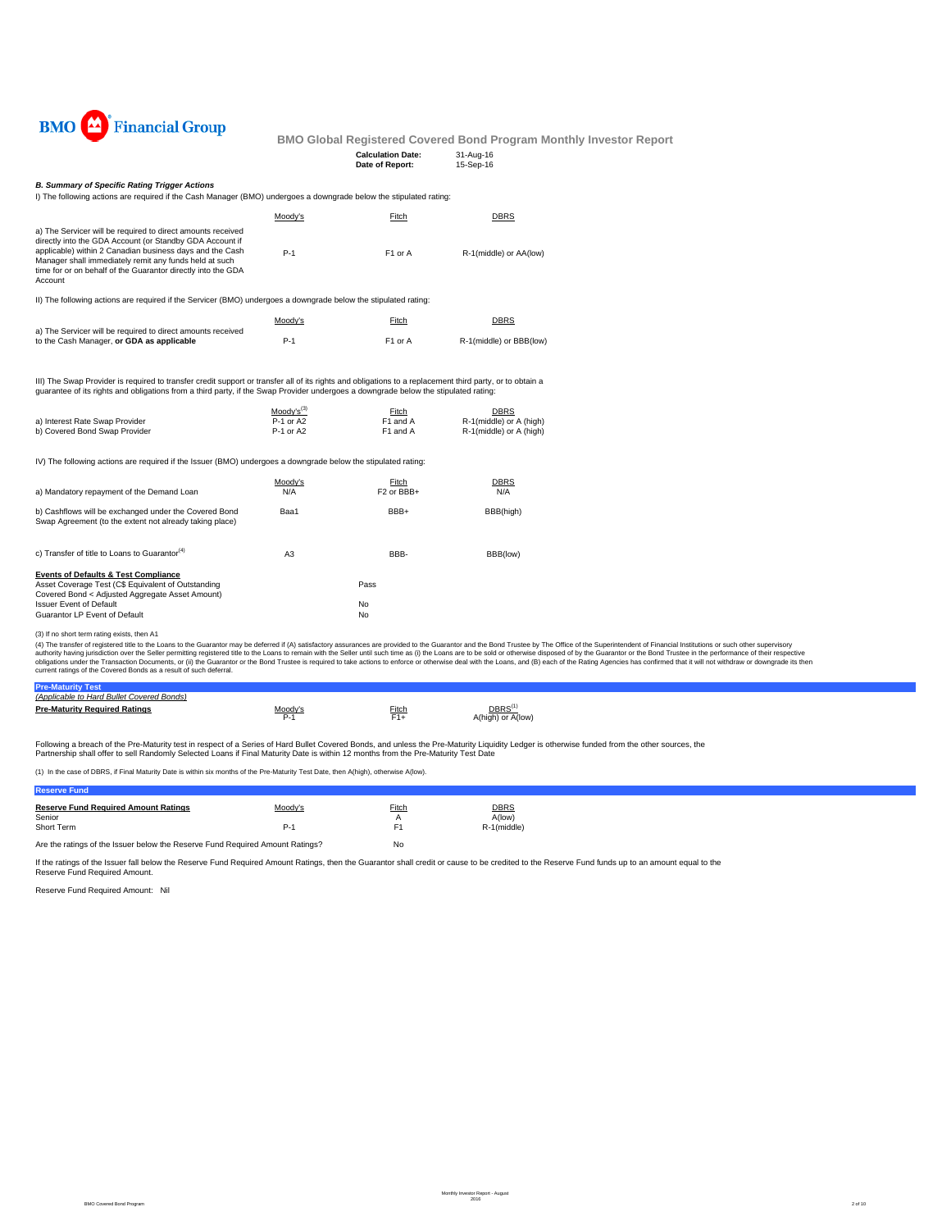

| <b>Calculation Date:</b> | 31-Aug-16 |
|--------------------------|-----------|
| Date of Report:          | 15-Sep-16 |

## *B. Summary of Specific Rating Trigger Actions*

I) The following actions are required if the Cash Manager (BMO) undergoes a downgrade below the stipulated rating:

|                                                                                                                                                                                                                                                                                                                          | Moodv's                    | Fitch                | <b>DBRS</b>                                        |
|--------------------------------------------------------------------------------------------------------------------------------------------------------------------------------------------------------------------------------------------------------------------------------------------------------------------------|----------------------------|----------------------|----------------------------------------------------|
| a) The Servicer will be required to direct amounts received<br>directly into the GDA Account (or Standby GDA Account if<br>applicable) within 2 Canadian business days and the Cash<br>Manager shall immediately remit any funds held at such<br>time for or on behalf of the Guarantor directly into the GDA<br>Account | $P-1$                      | F <sub>1</sub> or A  | R-1(middle) or AA(low)                             |
| II) The following actions are required if the Servicer (BMO) undergoes a downgrade below the stipulated rating:                                                                                                                                                                                                          |                            |                      |                                                    |
|                                                                                                                                                                                                                                                                                                                          | Moody's                    | Fitch                | <b>DBRS</b>                                        |
| a) The Servicer will be required to direct amounts received<br>to the Cash Manager, or GDA as applicable                                                                                                                                                                                                                 | $P-1$                      | F <sub>1</sub> or A  | R-1(middle) or BBB(low)                            |
| III) The Swap Provider is required to transfer credit support or transfer all of its rights and obligations to a replacement third party, or to obtain a<br>guarantee of its rights and obligations from a third party, if the Swap Provider undergoes a downgrade below the stipulated rating:                          |                            |                      |                                                    |
|                                                                                                                                                                                                                                                                                                                          | $Mody's^{(3)}$             | Fitch                | <b>DBRS</b>                                        |
| a) Interest Rate Swap Provider<br>b) Covered Bond Swap Provider                                                                                                                                                                                                                                                          | $P-1$ or A2<br>$P-1$ or A2 | F1 and A<br>F1 and A | R-1(middle) or A (high)<br>R-1(middle) or A (high) |

IV) The following actions are required if the Issuer (BMO) undergoes a downgrade below the stipulated rating:

| a) Mandatory repayment of the Demand Loan                                                                                                                                                  | Moody's<br>N/A | Fitch<br>F <sub>2</sub> or BB <sub>H</sub> | <b>DBRS</b><br>N/A |
|--------------------------------------------------------------------------------------------------------------------------------------------------------------------------------------------|----------------|--------------------------------------------|--------------------|
| b) Cashflows will be exchanged under the Covered Bond<br>Swap Agreement (to the extent not already taking place)                                                                           | Baa1           | BBB+                                       | BBB(high)          |
| c) Transfer of title to Loans to Guarantor <sup>(4)</sup>                                                                                                                                  | A3             | BBB-                                       | BBB(low)           |
| <b>Events of Defaults &amp; Test Compliance</b><br>Asset Coverage Test (C\$ Equivalent of Outstanding<br>Covered Bond < Adjusted Aggregate Asset Amount)<br><b>Issuer Event of Default</b> |                | Pass<br>No                                 |                    |
| Guarantor LP Event of Default                                                                                                                                                              |                | No                                         |                    |

(3) If no short term rating exists, then A1

(4) The transfer of registered title to the Loans to the Guarantor may be deferred if (A) satisfactory assurances are provided to the Guarantor and the Bond Trustee by The Office of the Superintendent of Financial Institut current ratings of the Covered Bonds as a result of such deferral.

| <b>Pre-Maturity Test</b>                  |         |       |                                  |
|-------------------------------------------|---------|-------|----------------------------------|
| (Applicable to Hard Bullet Covered Bonds) |         |       |                                  |
| <b>Pre-Maturity Required Ratings</b>      | Moody's | Fitch | <u>DBRS</u><br>A(high) or A(low) |

Following a breach of the Pre-Maturity test in respect of a Series of Hard Bullet Covered Bonds, and unless the Pre-Maturity Liquidity Ledger is otherwise funded from the other sources, the Partnership shall offer to sell Randomly Selected Loans if Final Maturity Date is within 12 months from the Pre-Maturity Test Date

(1) In the case of DBRS, if Final Maturity Date is within six months of the Pre-Maturity Test Date, then A(high), otherwise A(low).

| INGSGIYG I UHU.                                                               |         |       |                       |
|-------------------------------------------------------------------------------|---------|-------|-----------------------|
| <b>Reserve Fund Required Amount Ratings</b><br>Senior                         | Moody's | Fitch | <b>DBRS</b><br>A(low) |
| Short Term                                                                    | P.      |       | R-1(middle)           |
| Are the ratings of the Issuer below the Reserve Fund Required Amount Ratings? | No      |       |                       |

If the ratings of the Issuer fall below the Reserve Fund Required Amount Ratings, then the Guarantor shall credit or cause to be credited to the Reserve Fund funds up to an amount equal to the Reserve Fund Required Amount.

Reserve Fund Required Amount: Nil

**Reserve Fund**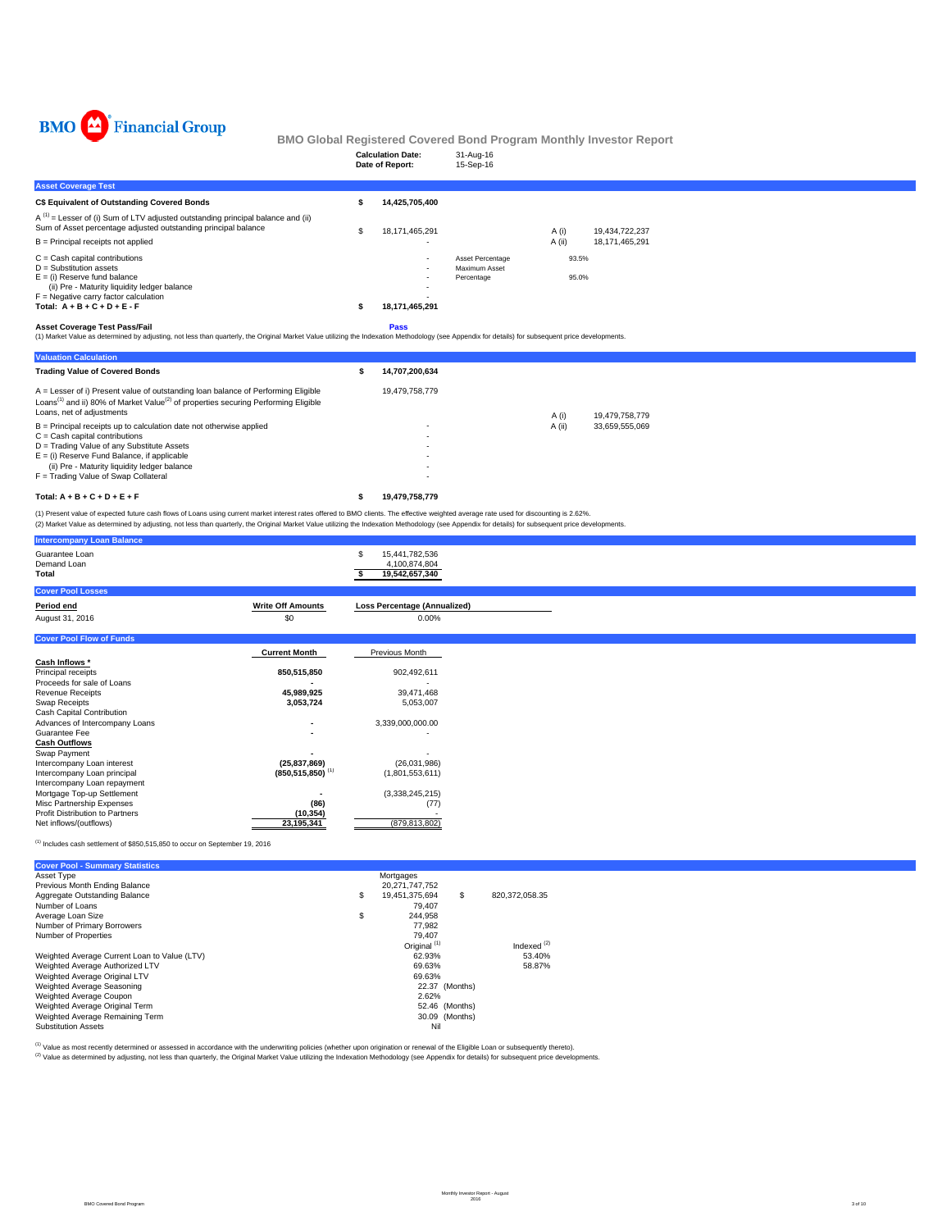

|                                                                                                                                                                                                                                                                      | <b>Calculation Date:</b><br>Date of Report: | 31-Aug-16<br>15-Sep-16                          |        |                |                |  |
|----------------------------------------------------------------------------------------------------------------------------------------------------------------------------------------------------------------------------------------------------------------------|---------------------------------------------|-------------------------------------------------|--------|----------------|----------------|--|
| <b>Asset Coverage Test</b>                                                                                                                                                                                                                                           |                                             |                                                 |        |                |                |  |
| C\$ Equivalent of Outstanding Covered Bonds                                                                                                                                                                                                                          | 14,425,705,400                              |                                                 |        |                |                |  |
| $A^{(1)}$ = Lesser of (i) Sum of LTV adjusted outstanding principal balance and (ii)<br>Sum of Asset percentage adjusted outstanding principal balance                                                                                                               | \$<br>18,171,465,291                        |                                                 | A (i)  |                | 19,434,722,237 |  |
| $B =$ Principal receipts not applied                                                                                                                                                                                                                                 |                                             |                                                 | A (ii) |                | 18,171,465,291 |  |
| $C =$ Cash capital contributions<br>$D =$ Substitution assets<br>$E =$ (i) Reserve fund balance<br>(ii) Pre - Maturity liquidity ledger balance<br>$F =$ Negative carry factor calculation<br>Total: $A + B + C + D + E - F$<br><b>Asset Coverage Test Pass/Fail</b> | ٠<br>18,171,465,291<br>Pass                 | Asset Percentage<br>Maximum Asset<br>Percentage |        | 93.5%<br>95.0% |                |  |
| (1) Market Value as determined by adjusting, not less than quarterly, the Original Market Value utilizing the Indexation Methodology (see Appendix for details) for subsequent price developments.                                                                   |                                             |                                                 |        |                |                |  |
| <b>Valuation Calculation</b>                                                                                                                                                                                                                                         |                                             |                                                 |        |                |                |  |
| <b>Trading Value of Covered Bonds</b>                                                                                                                                                                                                                                | 14,707,200,634                              |                                                 |        |                |                |  |
| A = Lesser of i) Present value of outstanding loan balance of Performing Eligible<br>Loans <sup>(1)</sup> and ii) 80% of Market Value <sup>(2)</sup> of properties securing Performing Eligible<br>Loans, net of adjustments                                         | 19,479,758,779                              |                                                 | A (i)  |                | 19,479,758,779 |  |
| B = Principal receipts up to calculation date not otherwise applied                                                                                                                                                                                                  |                                             |                                                 | A (ii) |                | 33.659.555.069 |  |

| Loans, net of adiustments                                             |                          | 19.479.758.779<br>A (i)  |
|-----------------------------------------------------------------------|--------------------------|--------------------------|
| $B =$ Principal receipts up to calculation date not otherwise applied | $\overline{\phantom{a}}$ | 33.659.555.069<br>A (ii) |
| $C =$ Cash capital contributions                                      |                          |                          |
| D = Trading Value of any Substitute Assets                            |                          |                          |
| $E =$ (i) Reserve Fund Balance, if applicable                         |                          |                          |
| (ii) Pre - Maturity liquidity ledger balance                          |                          |                          |
| F = Trading Value of Swap Collateral                                  | ٠                        |                          |
|                                                                       |                          |                          |

**Total: A + B + C + D + E + F 19,479,758,779 \$** 

(1) Present value of expected future cash flows of Loans using current market interest rates offered to BMO clients. The effective weighted average rate used for discounting is 2.62%.<br>(2) Market Value as determined by adju

| <b>Intercompany Loan Balance</b>                             |                                  |                                                         |
|--------------------------------------------------------------|----------------------------------|---------------------------------------------------------|
| Guarantee Loan<br>Demand Loan<br>Total                       |                                  | 15,441,782,536<br>-S<br>4,100,874,804<br>19,542,657,340 |
| <b>Cover Pool Losses</b>                                     |                                  |                                                         |
| Period end                                                   | <b>Write Off Amounts</b>         | <b>Loss Percentage (Annualized)</b>                     |
| August 31, 2016                                              | \$0                              | 0.00%                                                   |
| <b>Cover Pool Flow of Funds</b>                              |                                  |                                                         |
|                                                              | <b>Current Month</b>             | Previous Month                                          |
| Cash Inflows *                                               |                                  |                                                         |
| Principal receipts                                           | 850,515,850                      | 902,492,611                                             |
| Proceeds for sale of Loans                                   |                                  |                                                         |
| Revenue Receipts                                             | 45,989,925                       | 39,471,468                                              |
| Swap Receipts                                                | 3,053,724                        | 5,053,007                                               |
| Cash Capital Contribution                                    |                                  |                                                         |
| Advances of Intercompany Loans                               | $\overline{\phantom{a}}$         | 3,339,000,000.00                                        |
| Guarantee Fee                                                |                                  |                                                         |
| <b>Cash Outflows</b>                                         |                                  |                                                         |
| Swap Payment                                                 |                                  |                                                         |
| Intercompany Loan interest                                   | (25, 837, 869)                   | (26,031,986)                                            |
| Intercompany Loan principal                                  | $(850, 515, 850)$ <sup>(1)</sup> | (1,801,553,611)                                         |
| Intercompany Loan repayment                                  |                                  |                                                         |
| Mortgage Top-up Settlement                                   |                                  | (3,338,245,215)                                         |
| Misc Partnership Expenses<br>Profit Distribution to Partners | (86)                             | (77)                                                    |
| Net inflows/(outflows)                                       | (10, 354)<br>23,195,341          | (879, 813, 802)                                         |
|                                                              |                                  |                                                         |

 $<sup>(1)</sup>$  Includes cash settlement of \$850,515,850 to occur on September 19, 2016</sup>

| <b>Cover Pool - Summary Statistics</b>       |                         |                      |
|----------------------------------------------|-------------------------|----------------------|
| Asset Type                                   | Mortgages               |                      |
| Previous Month Ending Balance                | 20.271.747.752          |                      |
| Aggregate Outstanding Balance                | \$<br>19.451.375.694    | \$<br>820.372.058.35 |
| Number of Loans                              | 79.407                  |                      |
| Average Loan Size                            | \$<br>244.958           |                      |
| Number of Primary Borrowers                  | 77.982                  |                      |
| Number of Properties                         | 79.407                  |                      |
|                                              | Original <sup>(1)</sup> | Indexed $(2)$        |
| Weighted Average Current Loan to Value (LTV) | 62.93%                  | 53.40%               |
| Weighted Average Authorized LTV              | 69.63%                  | 58.87%               |
| Weighted Average Original LTV                | 69.63%                  |                      |
| Weighted Average Seasoning                   | 22.37 (Months)          |                      |
| Weighted Average Coupon                      | 2.62%                   |                      |
| Weighted Average Original Term               | 52.46 (Months)          |                      |
| Weighted Average Remaining Term              | 30.09 (Months)          |                      |
| <b>Substitution Assets</b>                   | Nil                     |                      |

(1) Value as most recently determined or assessed in accordance with the underwriting policies (whether upon origination or renewal of the Eligible Loan or subsequently thereto).

(2) Value as determined by adjusting, not less than quarterly, the Original Market Value utilizing the Indexation Methodology (see Appendix for details) for subsequent price developments.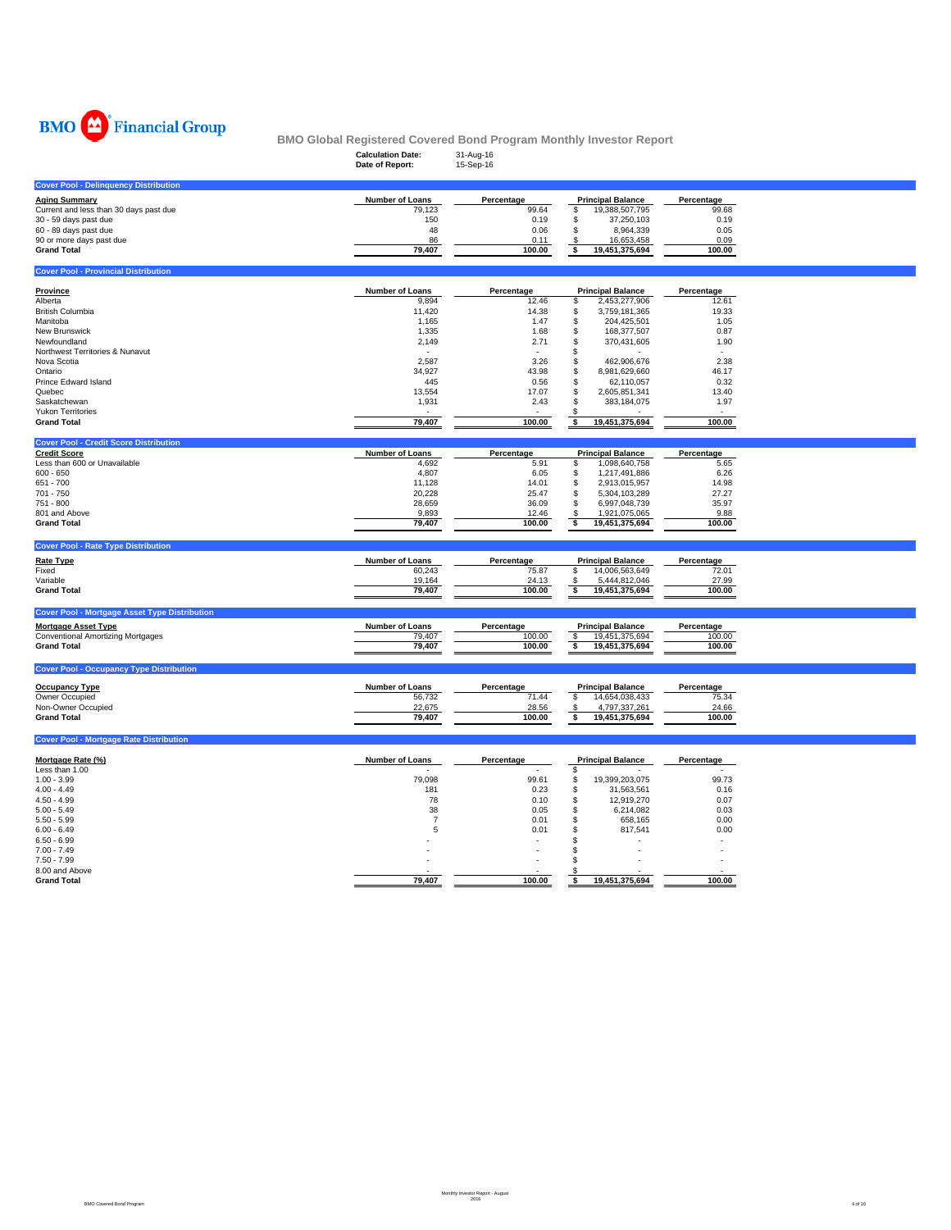

|                                                                                                                                                                                                                                                              | BMO Global Registered Covered Bond Program Monthly Investor Report                                                   |                                                                                                          |                                                                                                                                                                                                                                                                                |                                                                                                               |
|--------------------------------------------------------------------------------------------------------------------------------------------------------------------------------------------------------------------------------------------------------------|----------------------------------------------------------------------------------------------------------------------|----------------------------------------------------------------------------------------------------------|--------------------------------------------------------------------------------------------------------------------------------------------------------------------------------------------------------------------------------------------------------------------------------|---------------------------------------------------------------------------------------------------------------|
|                                                                                                                                                                                                                                                              | <b>Calculation Date:</b><br>Date of Report:                                                                          | 31-Aug-16<br>15-Sep-16                                                                                   |                                                                                                                                                                                                                                                                                |                                                                                                               |
| <b>Cover Pool - Delinguency Distribution</b>                                                                                                                                                                                                                 |                                                                                                                      |                                                                                                          |                                                                                                                                                                                                                                                                                |                                                                                                               |
| <b>Aging Summary</b><br>Current and less than 30 days past due<br>30 - 59 days past due<br>60 - 89 days past due<br>90 or more days past due<br><b>Grand Total</b>                                                                                           | Number of Loans<br>79,123<br>150<br>48<br>86<br>79,407                                                               | Percentage<br>99.64<br>0.19<br>0.06<br>0.11<br>100.00                                                    | <b>Principal Balance</b><br>19,388,507,795<br>\$<br>\$<br>37,250,103<br>8,964,339<br>16,653,458<br>\$<br>19,451,375,694                                                                                                                                                        | Percentage<br>99.68<br>0.19<br>0.05<br>0.09<br>100.00                                                         |
| <b>Cover Pool - Provincial Distribution</b>                                                                                                                                                                                                                  |                                                                                                                      |                                                                                                          |                                                                                                                                                                                                                                                                                |                                                                                                               |
| Province<br>Alberta<br><b>British Columbia</b><br>Manitoba<br>New Brunswick<br>Newfoundland<br>Northwest Territories & Nunavut<br>Nova Scotia<br>Ontario<br>Prince Edward Island<br>Quebec<br>Saskatchewan<br><b>Yukon Territories</b><br><b>Grand Total</b> | Number of Loans<br>9,894<br>11,420<br>1,165<br>1,335<br>2,149<br>2,587<br>34,927<br>445<br>13,554<br>1,931<br>79,407 | Percentage<br>12.46<br>14.38<br>1.47<br>1.68<br>2.71<br>3.26<br>43.98<br>0.56<br>17.07<br>2.43<br>100.00 | <b>Principal Balance</b><br>\$<br>2,453,277,906<br>3,759,181,365<br>S<br>S<br>204,425,501<br>168,377,507<br>\$<br>\$<br>370,431,605<br>\$.<br>462,906,676<br>S<br>8,981,629,660<br>S<br>S<br>62,110,057<br>2,605,851,341<br>S<br>S<br>383,184,075<br>S<br>\$<br>19,451,375,694 | Percentage<br>12.61<br>19.33<br>1.05<br>0.87<br>1.90<br>2.38<br>46.17<br>0.32<br>13.40<br>1.97<br>٠<br>100.00 |
| <b>Cover Pool - Credit Score Distribution</b>                                                                                                                                                                                                                |                                                                                                                      |                                                                                                          |                                                                                                                                                                                                                                                                                |                                                                                                               |
| <b>Credit Score</b><br>Less than 600 or Unavailable<br>$600 - 650$<br>$651 - 700$<br>$701 - 750$<br>$751 - 800$<br>801 and Above<br><b>Grand Total</b>                                                                                                       | <b>Number of Loans</b><br>4,692<br>4,807<br>11,128<br>20,228<br>28,659<br>9,893<br>79,407                            | Percentage<br>5.91<br>6.05<br>14.01<br>25.47<br>36.09<br>12.46<br>100.00                                 | <b>Principal Balance</b><br>\$<br>1,098,640,758<br>Ŝ<br>1,217,491,886<br>S<br>2,913,015,957<br>5,304,103,289<br>S<br>S<br>6,997,048,739<br>\$<br>1,921,075,065<br>\$<br>19,451,375,694                                                                                         | Percentage<br>5.65<br>6.26<br>14.98<br>27.27<br>35.97<br>9.88<br>100.00                                       |
| <b>Cover Pool - Rate Type Distribution</b>                                                                                                                                                                                                                   |                                                                                                                      |                                                                                                          |                                                                                                                                                                                                                                                                                |                                                                                                               |
| <b>Rate Type</b><br>Fixed<br>Variable<br><b>Grand Total</b>                                                                                                                                                                                                  | Number of Loans<br>60,243<br>19,164<br>79.407                                                                        | Percentage<br>75.87<br>24.13<br>100.00                                                                   | <b>Principal Balance</b><br>14,006,563,649<br>\$<br>s.<br>5,444,812,046<br>s.<br>19,451,375,694                                                                                                                                                                                | Percentage<br>72.01<br>27.99<br>100.00                                                                        |

| <b>Mortgage Asset Type</b>               | Number of Loans | Percentage | <b>Principal Balance</b> | Percentage |
|------------------------------------------|-----------------|------------|--------------------------|------------|
| <b>Conventional Amortizing Mortgages</b> | 79.407          | 100.00     |                          | 100.00     |
| <b>Grand Total</b>                       | 79.407          | 100.00     | 19.451.375.694           | 100.00     |
|                                          |                 |            |                          |            |

| <b>Cover Pool - Occupancy Type Distribution</b> |                        |            |                          |            |
|-------------------------------------------------|------------------------|------------|--------------------------|------------|
| <b>Occupancy Type</b>                           | <b>Number of Loans</b> | Percentage | <b>Principal Balance</b> | Percentage |
| Owner Occupied                                  | 56,732                 | 71.44      | 14.654.038.433           | 75.34      |
| Non-Owner Occupied                              | 22.675                 | 28.56      | 4.797.337.261            | 24.66      |
| <b>Grand Total</b>                              | 79.407                 | 100.00     | 19.451.375.694           | 100.00     |
|                                                 |                        |            |                          |            |

| Mortgage Rate (%)  | <b>Number of Loans</b> | Percentage | <b>Principal Balance</b> | Percentage |
|--------------------|------------------------|------------|--------------------------|------------|
| Less than 1.00     |                        |            |                          |            |
| $1.00 - 3.99$      | 79,098                 | 99.61      | 19,399,203,075           | 99.73      |
| $4.00 - 4.49$      | 181                    | 0.23       | 31,563,561               | 0.16       |
| $4.50 - 4.99$      | 78                     | 0.10       | 12.919.270               | 0.07       |
| $5.00 - 5.49$      | 38                     | 0.05       | 6,214,082                | 0.03       |
| $5.50 - 5.99$      |                        | 0.01       | 658,165                  | 0.00       |
| $6.00 - 6.49$      | Ð                      | 0.01       | 817.541                  | 0.00       |
| $6.50 - 6.99$      |                        |            |                          |            |
| $7.00 - 7.49$      |                        |            |                          |            |
| $7.50 - 7.99$      |                        |            |                          |            |
| 8.00 and Above     |                        |            |                          |            |
| <b>Grand Total</b> | 79,407                 | 100.00     | 19,451,375,694           | 100.00     |

**Cover Pool - Mortgage Rate Distribution**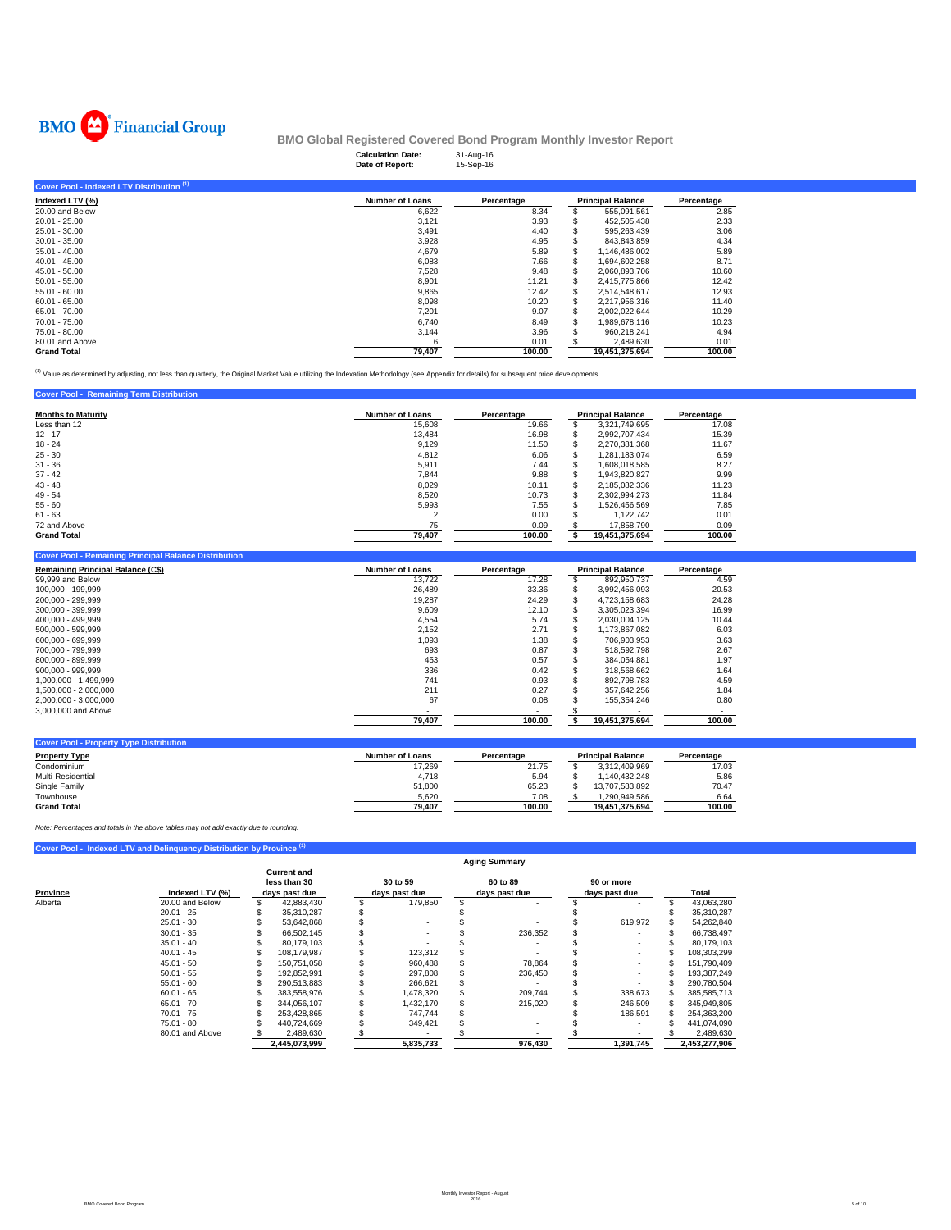

|                                                      | <b>Calculation Date:</b><br>Date of Report: | 31-Aug-16<br>15-Sep-16 |                          |            |
|------------------------------------------------------|---------------------------------------------|------------------------|--------------------------|------------|
| Cover Pool - Indexed LTV Distribution <sup>(1)</sup> |                                             |                        |                          |            |
| Indexed LTV (%)                                      | <b>Number of Loans</b>                      | Percentage             | <b>Principal Balance</b> | Percentage |
| 20.00 and Below                                      | 6,622                                       | 8.34                   | 555,091,561              | 2.85       |
| $20.01 - 25.00$                                      | 3,121                                       | 3.93                   | 452,505,438              | 2.33       |
| 25.01 - 30.00                                        | 3,491                                       | 4.40                   | 595,263,439              | 3.06       |
| $30.01 - 35.00$                                      | 3,928                                       | 4.95                   | 843,843,859              | 4.34       |
| $35.01 - 40.00$                                      | 4.679                                       | 5.89                   | 1,146,486,002            | 5.89       |
| $40.01 - 45.00$                                      | 6,083                                       | 7.66                   | 1,694,602,258            | 8.71       |
| $45.01 - 50.00$                                      | 7,528                                       | 9.48                   | 2,060,893,706            | 10.60      |
| $50.01 - 55.00$                                      | 8,901                                       | 11.21                  | 2,415,775,866            | 12.42      |
| $55.01 - 60.00$                                      | 9,865                                       | 12.42                  | 2,514,548,617            | 12.93      |
| $60.01 - 65.00$                                      | 8,098                                       | 10.20                  | 2,217,956,316            | 11.40      |
| 65.01 - 70.00                                        | 7.201                                       | 9.07                   | 2,002,022,644            | 10.29      |
| 70.01 - 75.00                                        | 6,740                                       | 8.49                   | 1,989,678,116            | 10.23      |
| 75.01 - 80.00                                        | 3,144                                       | 3.96                   | 960.218.241              | 4.94       |
| 80.01 and Above                                      |                                             | 0.01                   | 2,489,630                | 0.01       |
| <b>Grand Total</b>                                   | 79,407                                      | 100.00                 | 19,451,375,694           | 100.00     |

<sup>(1)</sup> Value as determined by adjusting, not less than quarterly, the Original Market Value utilizing the Indexation Methodology (see Appendix for details) for subsequent price developments.

## **Cover Pool - Remaining Term Distribution Mumber of Loans computer of Loans Computer Section 12.**<br>
Less than 12<br>
12.17 16.98 **5** 3.321,749,695 **Percentage Percentage Percentage Percentage Percentage Percentage Percentage Percentage<br>
12.17 16.98 \$ 2,992,707,434 1** 31 - 36 7.44  $\pm$  5,911 7.44  $\pm$  5,1608,018,585 8.27 8.27 37 - 42 9.88 7,844 1,943,820,827 \$ 9.99 43 - 48 10.11 8,029 2,185,082,336 \$ 11.23 49 - 54 10.73 8,520 2,302,994,273 \$ 11.84 55 - 60 7.55 5,993 1,526,456,569 \$ 7.85  $61$  -  $63$   $3$   $1,122,742$   $0.01$ 72 and Above 0.09 75 17,858,790 \$ 0.09 **Grand Total 100.00 79,407 19,451,375,694 \$ 100.00**

## **Cover Pool - Remaining Principal Balance Distribution**

| <b>Remaining Principal Balance (C\$)</b> | <b>Number of Loans</b> | Percentage |    | <b>Principal Balance</b> | Percentage |
|------------------------------------------|------------------------|------------|----|--------------------------|------------|
| 99,999 and Below                         | 13.722                 | 17.28      |    | 892.950.737              | 4.59       |
| 100.000 - 199.999                        | 26.489                 | 33.36      | J. | 3.992.456.093            | 20.53      |
| 200,000 - 299,999                        | 19.287                 | 24.29      |    | 4.723.158.683            | 24.28      |
| 300,000 - 399,999                        | 9,609                  | 12.10      | J. | 3.305.023.394            | 16.99      |
| 400.000 - 499.999                        | 4.554                  | 5.74       | ъ  | 2.030.004.125            | 10.44      |
| 500,000 - 599,999                        | 2.152                  | 2.71       |    | 1.173.867.082            | 6.03       |
| 600.000 - 699.999                        | 1.093                  | 1.38       |    | 706.903.953              | 3.63       |
| 700,000 - 799,999                        | 693                    | 0.87       | ъ  | 518.592.798              | 2.67       |
| 800,000 - 899,999                        | 453                    | 0.57       |    | 384.054.881              | 1.97       |
| $900,000 - 999,999$                      | 336                    | 0.42       |    | 318,568,662              | 1.64       |
| 1,000,000 - 1,499,999                    | 741                    | 0.93       |    | 892,798,783              | 4.59       |
| 1.500.000 - 2.000.000                    | 211                    | 0.27       |    | 357.642.256              | 1.84       |
| 2.000.000 - 3.000.000                    | 67                     | 0.08       |    | 155.354.246              | 0.80       |
| 3,000,000 and Above                      |                        |            |    |                          |            |
|                                          | 79.407                 | 100.00     |    | 19.451.375.694           | 100.00     |

| Number of Loans | Percentage |                | Percentage               |
|-----------------|------------|----------------|--------------------------|
| 17.269          | 21.75      | 3.312.409.969  | 17.03                    |
| 4.718           | 5.94       | 1.140.432.248  | 5.86                     |
| 51.800          | 65.23      | 13.707.583.892 | 70.47                    |
| 5.620           | 7.08       | 1.290.949.586  | 6.64                     |
| 79.407          | 100.00     | 19.451.375.694 | 100.00                   |
|                 |            |                | <b>Principal Balance</b> |

*Note: Percentages and totals in the above tables may not add exactly due to rounding.*

## **Cover Pool - Indexed LTV and Delinquency Distribution by Province (1)**

|          |                 |                                                     |                           | <b>Aging Summary</b>      |                             |               |
|----------|-----------------|-----------------------------------------------------|---------------------------|---------------------------|-----------------------------|---------------|
| Province | Indexed LTV (%) | <b>Current and</b><br>less than 30<br>days past due | 30 to 59<br>days past due | 60 to 89<br>days past due | 90 or more<br>days past due | Total         |
| Alberta  | 20.00 and Below | 42.883.430                                          | 179,850                   |                           |                             | 43,063,280    |
|          | $20.01 - 25$    | 35.310.287                                          |                           |                           |                             | 35.310.287    |
|          | $25.01 - 30$    | 53.642.868                                          |                           |                           | 619.972                     | 54.262.840    |
|          | $30.01 - 35$    | 66.502.145                                          |                           | 236,352                   |                             | 66.738.497    |
|          | $35.01 - 40$    | 80.179.103                                          |                           |                           |                             | 80.179.103    |
|          | $40.01 - 45$    | 108.179.987                                         | 123,312                   |                           | $\sim$                      | 108,303,299   |
|          | $45.01 - 50$    | 150.751.058                                         | 960.488                   | 78,864                    | $\sim$                      | 151.790.409   |
|          | $50.01 - 55$    | 192.852.991                                         | 297.808                   | 236.450                   | $\sim$                      | 193.387.249   |
|          | $55.01 - 60$    | 290.513.883                                         | 266,621                   |                           |                             | 290,780,504   |
|          | $60.01 - 65$    | 383.558.976                                         | 1,478,320                 | 209.744                   | 338,673                     | 385,585,713   |
|          | $65.01 - 70$    | 344.056.107                                         | 1.432.170                 | 215.020                   | 246,509                     | 345.949.805   |
|          | $70.01 - 75$    | 253.428.865                                         | 747.744                   |                           | 186.591                     | 254,363,200   |
|          | $75.01 - 80$    | 440.724.669                                         | 349.421                   |                           |                             | 441.074.090   |
|          | 80.01 and Above | 2.489.630                                           |                           |                           |                             | 2,489,630     |
|          |                 | 2,445,073,999                                       | 5.835.733                 | 976.430                   | 1,391,745                   | 2,453,277,906 |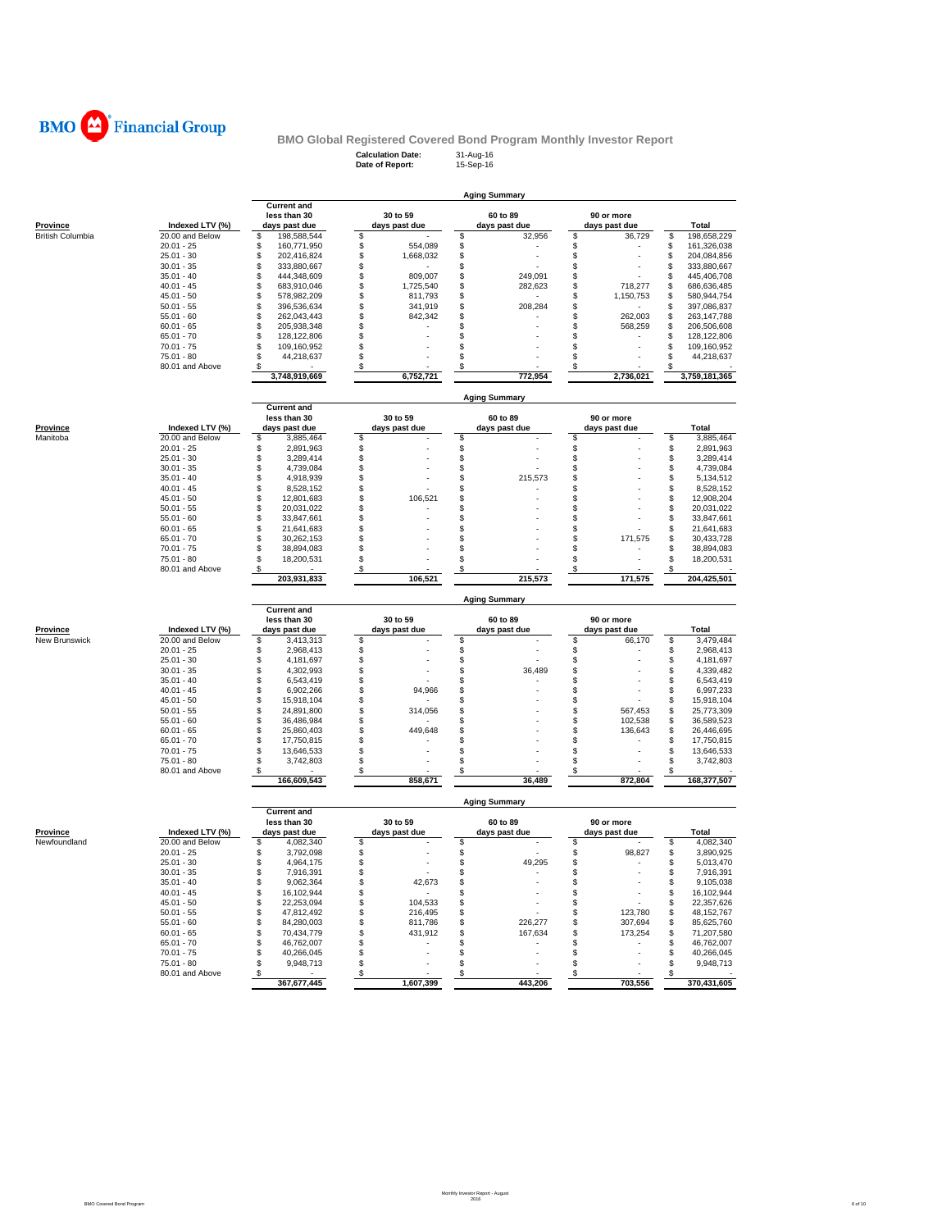

| <b>Calculation Date:</b> | 31-Aug-16 |
|--------------------------|-----------|
| Date of Report:          | 15-Sep-16 |

|                         |                                 |                                      |            |                      |          | <b>Aging Summary</b> |             |                      |              |                            |
|-------------------------|---------------------------------|--------------------------------------|------------|----------------------|----------|----------------------|-------------|----------------------|--------------|----------------------------|
|                         |                                 | <b>Current and</b><br>less than 30   |            | 30 to 59             |          | 60 to 89             |             | 90 or more           |              |                            |
| Province                | Indexed LTV (%)                 | days past due                        |            | days past due        |          | days past due        |             | days past due        |              | Total                      |
| <b>British Columbia</b> | 20.00 and Below                 | \$<br>198,588,544                    | \$         |                      | \$       | 32,956               | \$          | 36,729               | s            | 198,658,229                |
|                         | $20.01 - 25$                    | \$.<br>160,771,950                   | \$         | 554,089              | \$       |                      | \$          |                      | \$           | 161,326,038                |
|                         | $25.01 - 30$                    | \$<br>202,416,824                    | \$         | 1,668,032            | \$       |                      | \$          |                      | \$           | 204,084,856                |
|                         | $30.01 - 35$                    | \$<br>333,880,667                    | \$         |                      | \$       |                      | \$          |                      | \$           | 333,880,667                |
|                         | $35.01 - 40$<br>$40.01 - 45$    | 444,348,609<br>S<br>S<br>683.910.046 | \$         | 809,007              | \$       | 249.091              | \$          |                      | \$           | 445,406,708<br>686.636.485 |
|                         | $45.01 - 50$                    | \$<br>578,982,209                    | \$<br>\$   | 1,725,540<br>811,793 | \$<br>\$ | 282,623              | \$<br>\$    | 718,277<br>1,150,753 | \$<br>\$     | 580,944,754                |
|                         | $50.01 - 55$                    | \$<br>396,536,634                    | \$         | 341,919              | \$       | 208,284              | \$          |                      | \$           | 397,086,837                |
|                         | $55.01 - 60$                    | \$<br>262,043,443                    | \$         | 842,342              | \$       |                      | \$          | 262,003              | \$           | 263, 147, 788              |
|                         | $60.01 - 65$                    | \$<br>205.938.348                    | \$         |                      | \$       |                      | $\mathbb S$ | 568,259              | \$           | 206,506,608                |
|                         | $65.01 - 70$                    | \$<br>128,122,806                    | \$         |                      | \$       |                      | \$          |                      | \$           | 128,122,806                |
|                         | $70.01 - 75$                    | \$<br>109,160,952                    | \$         |                      | \$       |                      | \$          |                      | \$           | 109,160,952                |
|                         | $75.01 - 80$                    | S<br>44,218,637                      | \$         |                      | \$.      |                      | \$          |                      | \$           | 44,218,637                 |
|                         | 80.01 and Above                 | S                                    | \$         |                      | S        |                      | \$          |                      | $\mathbb{S}$ |                            |
|                         |                                 | 3,748,919,669                        |            | 6,752,721            |          | 772,954              |             | 2,736,021            |              | 3,759,181,365              |
|                         |                                 | <b>Current and</b>                   |            |                      |          | <b>Aging Summary</b> |             |                      |              |                            |
|                         |                                 | less than 30                         |            | 30 to 59             |          | 60 to 89             |             | 90 or more           |              |                            |
| <b>Province</b>         | Indexed LTV (%)                 | days past due                        |            | days past due        |          | days past due        |             | days past due        |              | <b>Total</b>               |
| Manitoba                | 20.00 and Below                 | 3,885,464<br>\$.                     | S          |                      | \$       |                      | \$          |                      | S            | 3.885.464                  |
|                         | $20.01 - 25$                    | \$<br>2,891,963                      | \$         |                      | \$       |                      | \$          |                      | \$           | 2,891,963                  |
|                         | $25.01 - 30$                    | \$<br>3,289,414                      | $\bar{\$}$ |                      | \$       |                      | \$          |                      | \$           | 3,289,414                  |
|                         | $30.01 - 35$                    | \$<br>4,739,084                      | \$         |                      | \$       |                      | \$          |                      | \$           | 4,739,084                  |
|                         | $35.01 - 40$                    | \$<br>4,918,939                      | \$         |                      | \$       | 215,573              | \$          |                      | \$           | 5,134,512                  |
|                         | $40.01 - 45$                    | \$<br>8,528,152                      | \$         |                      | \$       |                      | \$          |                      | \$           | 8,528,152                  |
|                         | $45.01 - 50$<br>$50.01 - 55$    | \$<br>12,801,683<br>\$<br>20,031,022 | \$<br>\$   | 106,521              | \$<br>S  |                      | \$<br>\$    |                      | \$           | 12,908,204<br>20,031,022   |
|                         | $55.01 - 60$                    | \$<br>33,847,661                     | \$         |                      | \$       |                      | \$          |                      | \$<br>\$     | 33,847,661                 |
|                         | $60.01 - 65$                    | \$<br>21,641,683                     | \$         |                      | \$       |                      | \$          |                      | \$           | 21,641,683                 |
|                         | $65.01 - 70$                    | \$<br>30,262,153                     | \$         |                      | \$       |                      | \$          | 171,575              | \$           | 30,433,728                 |
|                         | $70.01 - 75$                    | \$<br>38,894,083                     | \$         |                      | \$       |                      | \$          |                      | \$           | 38,894,083                 |
|                         | $75.01 - 80$                    | \$<br>18,200,531                     | \$         |                      | \$       |                      | \$          |                      | \$           | 18,200,531                 |
|                         | 80.01 and Above                 | \$                                   | S          |                      | S        |                      | \$          |                      |              |                            |
|                         |                                 | 203,931,833                          |            | 106.521              |          | 215.573              |             | 171.575              |              | 204,425,501                |
|                         |                                 | <b>Current and</b>                   |            |                      |          | <b>Aging Summary</b> |             |                      |              |                            |
|                         |                                 | less than 30                         |            | 30 to 59             |          | 60 to 89             |             | 90 or more           |              |                            |
| <b>Province</b>         | Indexed LTV (%)                 | days past due                        |            | days past due        |          | days past due        |             | days past due        |              | Total                      |
| New Brunswick           | 20.00 and Below                 | \$<br>3,413,313                      | \$         |                      | \$<br>\$ |                      | \$          | 66,170               | \$           | 3,479,484                  |
|                         | $20.01 - 25$<br>$25.01 - 30$    | \$<br>2,968,413<br>\$<br>4,181,697   | \$         |                      |          |                      | \$          |                      | \$           | 2,968,413<br>4,181,697     |
|                         | $30.01 - 35$                    | \$<br>4,302,993                      | \$<br>\$   |                      | \$<br>\$ | 36,489               | \$<br>\$    |                      | \$<br>\$     | 4,339,482                  |
|                         | $35.01 - 40$                    | \$<br>6,543,419                      | \$         |                      | \$       |                      | \$          |                      | \$           | 6,543,419                  |
|                         | $40.01 - 45$                    | S<br>6,902,266                       | \$         | 94,966               | \$       |                      | \$          |                      | \$           | 6,997,233                  |
|                         | $45.01 - 50$                    | \$<br>15,918,104                     | \$         |                      | \$       |                      | \$          |                      | \$           | 15,918,104                 |
|                         | $50.01 - 55$                    | \$<br>24,891,800                     | \$         | 314,056              | \$       |                      | \$          | 567,453              | \$           | 25,773,309                 |
|                         | $55.01 - 60$                    | \$<br>36,486,984                     | \$         |                      | \$       |                      | \$          | 102,538              | \$           | 36,589,523                 |
|                         | $60.01 - 65$                    | \$<br>25,860,403                     | \$         | 449,648              | S        |                      | $\mathbb S$ | 136,643              | \$           | 26,446,695                 |
|                         | $65.01 - 70$                    | \$<br>17,750,815                     | \$         |                      | \$       |                      | \$          |                      | \$           | 17,750,815                 |
|                         | $70.01 - 75$                    | \$<br>13,646,533                     | \$         |                      | \$       |                      | \$          |                      | \$           | 13,646,533                 |
|                         | $75.01 - 80$                    | S<br>3,742,803                       | \$         |                      | \$       |                      | \$          |                      | \$<br>\$     | 3,742,803                  |
|                         |                                 |                                      |            |                      |          |                      |             |                      |              | 168,377,507                |
|                         | 80.01 and Above                 | \$<br>166,609,543                    | \$         | 858,671              | \$       | 36,489               | \$          | 872,804              |              |                            |
|                         |                                 |                                      |            |                      |          | <b>Aging Summary</b> |             |                      |              |                            |
|                         |                                 | <b>Current and</b>                   |            |                      |          |                      |             |                      |              |                            |
|                         |                                 | less than 30                         |            | 30 to 59             |          | 60 to 89             |             | 90 or more           |              |                            |
| <b>Province</b>         | Indexed LTV (%)                 | days past due                        |            | days past due        |          | days past due        |             | days past due        |              | Total                      |
| Newfoundland            | 20.00 and Below                 | S<br>4,082,340                       | \$         |                      | S        |                      | \$          |                      | S            | 4,082,340                  |
|                         | $20.01 - 25$<br>$25.01 - 30$    | \$<br>3,792,098<br>\$<br>4,964,175   | \$<br>\$   |                      | \$<br>\$ | 49,295               | \$<br>\$    | 98,827               | \$<br>\$     | 3,890,925<br>5,013,470     |
|                         | $30.01 - 35$                    | S<br>7,916,391                       | \$         |                      | \$       |                      | \$          |                      | \$           | 7,916,391                  |
|                         | $35.01 - 40$                    | \$<br>9,062,364                      | \$         | 42,673               | \$       |                      | \$          |                      | \$           | 9,105,038                  |
|                         | $40.01 - 45$                    | \$<br>16,102,944                     | \$         |                      | \$       |                      | \$          |                      | \$           | 16,102,944                 |
|                         | $45.01 - 50$                    | \$<br>22,253,094                     | \$         | 104,533              | \$       |                      | \$          |                      | \$           | 22,357,626                 |
|                         | $50.01 - 55$                    | \$<br>47,812,492                     | \$         | 216,495              | \$       |                      | \$          | 123,780              | \$           | 48, 152, 767               |
|                         | $55.01 - 60$                    | \$<br>84,280,003                     | \$         | 811,786              | \$       | 226,277              | \$          | 307,694              | \$           | 85,625,760                 |
|                         | $60.01 - 65$                    | \$<br>70,434,779                     | \$         | 431,912              | \$       | 167,634              | \$          | 173,254              | \$           | 71,207,580                 |
|                         | $65.01 - 70$                    | S<br>46,762,007                      | \$         |                      | S        |                      | \$          |                      | \$           | 46,762,007                 |
|                         | $70.01 - 75$                    | \$<br>40,266,045                     | \$         |                      | \$       |                      | \$          |                      | \$           | 40,266,045                 |
|                         | $75.01 - 80$<br>80.01 and Above | \$<br>9,948,713<br>\$                | \$<br>\$   |                      | S<br>\$  |                      | \$<br>\$    |                      | \$<br>\$     | 9,948,713                  |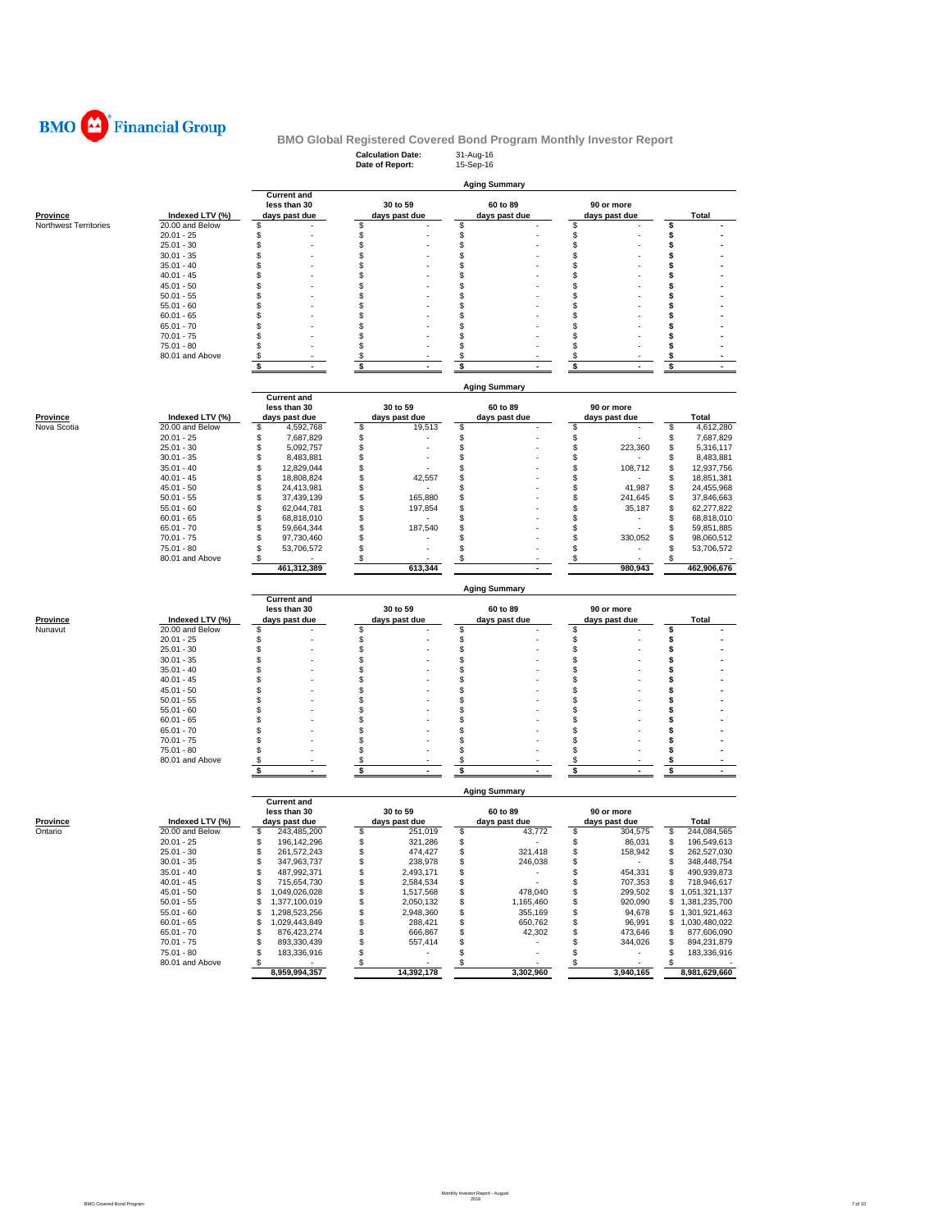

|                       |                              |                                      | <b>Calculation Date:</b><br>Date of Report: | 31-Aug-16<br>15-Sep-16  |                                |                                  |  |  |  |  |
|-----------------------|------------------------------|--------------------------------------|---------------------------------------------|-------------------------|--------------------------------|----------------------------------|--|--|--|--|
|                       |                              |                                      |                                             | <b>Aging Summary</b>    |                                |                                  |  |  |  |  |
|                       |                              | <b>Current and</b><br>less than 30   | 30 to 59                                    | 60 to 89                | 90 or more                     |                                  |  |  |  |  |
| <b>Province</b>       | Indexed LTV (%)              | days past due                        | days past due                               | days past due           | days past due                  | Total                            |  |  |  |  |
| Northwest Territories | 20.00 and Below              | S                                    | \$                                          | s                       | \$                             | \$                               |  |  |  |  |
|                       | $20.01 - 25$                 | S                                    | \$                                          | \$                      | \$                             | \$                               |  |  |  |  |
|                       | $25.01 - 30$                 | \$<br>\$                             | \$<br>\$                                    | \$<br>\$                | \$<br>\$                       | s<br>s                           |  |  |  |  |
|                       | $30.01 - 35$<br>$35.01 - 40$ | \$                                   | \$                                          | \$                      | \$                             | \$                               |  |  |  |  |
|                       | $40.01 - 45$                 | \$                                   | \$                                          | \$                      | \$                             | s                                |  |  |  |  |
|                       | $45.01 - 50$                 | S                                    | \$                                          | \$                      | \$                             | s                                |  |  |  |  |
|                       | $50.01 - 55$                 | \$                                   | \$                                          | \$                      | \$                             | S                                |  |  |  |  |
|                       | $55.01 - 60$                 | \$                                   | \$                                          | \$                      | \$                             | s                                |  |  |  |  |
|                       | $60.01 - 65$                 | S                                    | \$                                          | \$                      | \$                             | s                                |  |  |  |  |
|                       | $65.01 - 70$                 | \$                                   | \$                                          | \$                      | \$                             |                                  |  |  |  |  |
|                       | $70.01 - 75$                 | \$                                   | \$                                          | \$                      | \$                             |                                  |  |  |  |  |
|                       | $75.01 - 80$                 | \$                                   | \$                                          | \$                      | \$                             |                                  |  |  |  |  |
|                       | 80.01 and Above              | \$                                   | \$                                          | \$                      | \$                             | S                                |  |  |  |  |
|                       |                              | \$                                   | \$                                          | \$                      | \$                             | \$                               |  |  |  |  |
|                       |                              |                                      |                                             | <b>Aging Summary</b>    |                                |                                  |  |  |  |  |
|                       |                              | <b>Current and</b>                   |                                             |                         |                                |                                  |  |  |  |  |
|                       |                              | less than 30                         | 30 to 59                                    | 60 to 89                | 90 or more                     |                                  |  |  |  |  |
| <b>Province</b>       | Indexed LTV (%)              | days past due                        | days past due                               | days past due           | days past due                  | Total                            |  |  |  |  |
| Nova Scotia           | 20.00 and Below              | \$<br>4,592,768                      | \$<br>19,513                                | \$                      | \$                             | \$<br>4,612,280                  |  |  |  |  |
|                       | $20.01 - 25$                 | S<br>7,687,829                       | \$                                          | \$                      | \$                             | S<br>7,687,829                   |  |  |  |  |
|                       | $25.01 - 30$                 | 5,092,757<br>\$                      | \$                                          | \$                      | \$<br>223,360                  | 5,316,117<br>S                   |  |  |  |  |
|                       | $30.01 - 35$                 | \$<br>8,483,881                      | \$<br>\$                                    | S<br>S                  | \$                             | 8,483,881<br>S<br>S              |  |  |  |  |
|                       | $35.01 - 40$<br>$40.01 - 45$ | \$<br>12,829,044<br>\$<br>18,808,824 | \$<br>42,557                                | S                       | \$<br>108,712<br>\$            | 12,937,756<br>S                  |  |  |  |  |
|                       |                              | \$                                   | \$                                          | \$                      | \$                             | 18,851,381<br>S                  |  |  |  |  |
|                       | $45.01 - 50$<br>$50.01 - 55$ | 24,413,981<br>\$<br>37,439,139       | \$<br>165,880                               | \$                      | 41,987<br>\$<br>241,645        | 24,455,968<br>S<br>37,846,663    |  |  |  |  |
|                       | $55.01 - 60$                 | \$<br>62,044,781                     | \$<br>197,854                               | S                       | \$<br>35,187                   | S<br>62,277,822                  |  |  |  |  |
|                       | $60.01 - 65$                 | \$<br>68,818,010                     | \$                                          | \$                      | \$                             | 68,818,010<br>S                  |  |  |  |  |
|                       | $65.01 - 70$                 | S<br>59,664,344                      | \$<br>187,540                               | S                       | \$                             | 59,851,885<br>S                  |  |  |  |  |
|                       | $70.01 - 75$                 | 97,730,460<br>S                      | \$                                          | S                       | S<br>330,052                   | 98,060,512<br>S                  |  |  |  |  |
|                       | $75.01 - 80$                 | 53,706,572<br>\$.                    | \$                                          | S                       | \$                             | 53,706,572<br>S                  |  |  |  |  |
|                       | 80.01 and Above              | \$                                   | \$                                          | S                       | \$                             | S                                |  |  |  |  |
|                       |                              | 461,312,389                          | 613,344                                     |                         | 980,943                        | 462,906,676                      |  |  |  |  |
|                       |                              |                                      |                                             | <b>Aging Summary</b>    |                                |                                  |  |  |  |  |
|                       |                              | <b>Current and</b>                   |                                             |                         |                                |                                  |  |  |  |  |
|                       |                              | less than 30                         | 30 to 59                                    | 60 to 89                | 90 or more                     |                                  |  |  |  |  |
|                       |                              |                                      |                                             |                         |                                |                                  |  |  |  |  |
| Province              | Indexed LTV (%)              | days past due                        | days past due                               | days past due           | days past due                  | Total                            |  |  |  |  |
| Nunavut               | 20.00 and Below              | \$                                   | \$                                          | \$                      | \$                             | \$                               |  |  |  |  |
|                       | $20.01 - 25$                 | S                                    | \$                                          | \$                      | \$                             | s                                |  |  |  |  |
|                       | $25.01 - 30$                 | \$                                   | \$                                          | \$                      | \$                             | S                                |  |  |  |  |
|                       | $30.01 - 35$                 | \$                                   | \$                                          | \$                      | \$                             | s                                |  |  |  |  |
|                       | $35.01 - 40$                 | \$                                   | \$                                          | \$                      | \$                             | s                                |  |  |  |  |
|                       | $40.01 - 45$                 | \$                                   | \$                                          | \$                      | \$                             | S                                |  |  |  |  |
|                       | $45.01 - 50$                 | \$                                   | \$                                          | \$                      | \$                             | s                                |  |  |  |  |
|                       | $50.01 - 55$                 | S                                    | \$                                          | S                       | \$                             |                                  |  |  |  |  |
|                       | $55.01 - 60$                 | S<br>\$                              | \$                                          | S                       | \$                             | S                                |  |  |  |  |
|                       | $60.01 - 65$                 |                                      | \$                                          | \$                      | \$                             | s                                |  |  |  |  |
|                       | $65.01 - 70$                 | \$<br>\$                             | \$                                          | \$                      | \$                             | \$                               |  |  |  |  |
|                       | $70.01 - 75$<br>$75.01 - 80$ | \$                                   | \$<br>\$                                    | \$<br>\$                | \$<br>\$                       | s                                |  |  |  |  |
|                       | 80.01 and Above              | \$                                   | \$                                          | \$                      | \$                             | \$                               |  |  |  |  |
|                       |                              | \$<br>÷.                             | \$                                          | \$                      | \$                             | \$                               |  |  |  |  |
|                       |                              |                                      |                                             |                         |                                |                                  |  |  |  |  |
|                       |                              | <b>Current and</b>                   |                                             | <b>Aging Summary</b>    |                                |                                  |  |  |  |  |
|                       |                              | less than 30                         | 30 to 59                                    | 60 to 89                | 90 or more                     |                                  |  |  |  |  |
| <b>Province</b>       | Indexed LTV (%)              | days past due                        | days past due                               | days past due           | days past due                  | Total                            |  |  |  |  |
| Ontario               | 20.00 and Below              | \$<br>243,485,200                    | \$<br>251,019                               | \$<br>43,772            | \$<br>304,575                  | \$<br>244,084,565                |  |  |  |  |
|                       | $20.01 - 25$                 | \$<br>196, 142, 296                  | \$<br>321,286                               | \$                      | \$<br>86,031                   | \$<br>196,549,613                |  |  |  |  |
|                       | $25.01 - 30$                 | \$<br>261,572,243                    | \$<br>474,427                               | \$<br>321,418           | 158,942                        | \$<br>262,527,030                |  |  |  |  |
|                       | $30.01 - 35$                 | \$<br>347,963,737                    | \$<br>238,978                               | \$<br>246,038           | \$                             | 348,448,754<br>\$                |  |  |  |  |
|                       | $35.01 - 40$                 | \$<br>487,992,371                    | \$<br>2,493,171                             | \$                      | \$<br>454,331                  | 490,939,873<br>\$                |  |  |  |  |
|                       | $40.01 - 45$                 | \$<br>715,654,730                    | \$<br>2,584,534                             | \$                      | \$<br>707,353                  | 718,946,617<br>\$                |  |  |  |  |
|                       | $45.01 - 50$                 | \$<br>1,049,026,028                  | \$<br>1,517,568                             | \$<br>478,040           | \$<br>299,502                  | 1,051,321,137<br>\$              |  |  |  |  |
|                       | $50.01 - 55$                 | \$<br>1,377,100,019                  | \$<br>2,050,132                             | \$<br>1,165,460         | \$<br>920,090                  | 1,381,235,700<br>\$              |  |  |  |  |
|                       | $55.01 - 60$                 | \$<br>1,298,523,256                  | \$<br>2,948,360                             | \$<br>355,169           | \$<br>94,678                   | 1,301,921,463<br>\$              |  |  |  |  |
|                       | $60.01 - 65$                 | \$<br>1,029,443,849<br>\$            | \$<br>288,421                               | \$<br>650,762           | \$<br>96,991                   | 1,030,480,022<br>\$<br>\$        |  |  |  |  |
|                       | $65.01 - 70$<br>$70.01 - 75$ | 876,423,274<br>\$<br>893,330,439     | \$<br>666,867<br>\$<br>557,414              | \$<br>42,302<br>\$<br>٠ | \$<br>473,646<br>\$<br>344,026 | 877,606,090<br>\$<br>894,231,879 |  |  |  |  |
|                       | $75.01 - 80$                 | \$<br>183,336,916                    | \$                                          | \$                      | \$                             | \$<br>183,336,916                |  |  |  |  |
|                       | 80.01 and Above              | \$                                   | $\sqrt{3}$                                  | \$                      | \$                             | \$                               |  |  |  |  |
|                       |                              | 8,959,994,357                        | 14,392,178                                  | 3,302,960               | 3,940,165                      | 8,981,629,660                    |  |  |  |  |

Monthly Investor Report - August 2016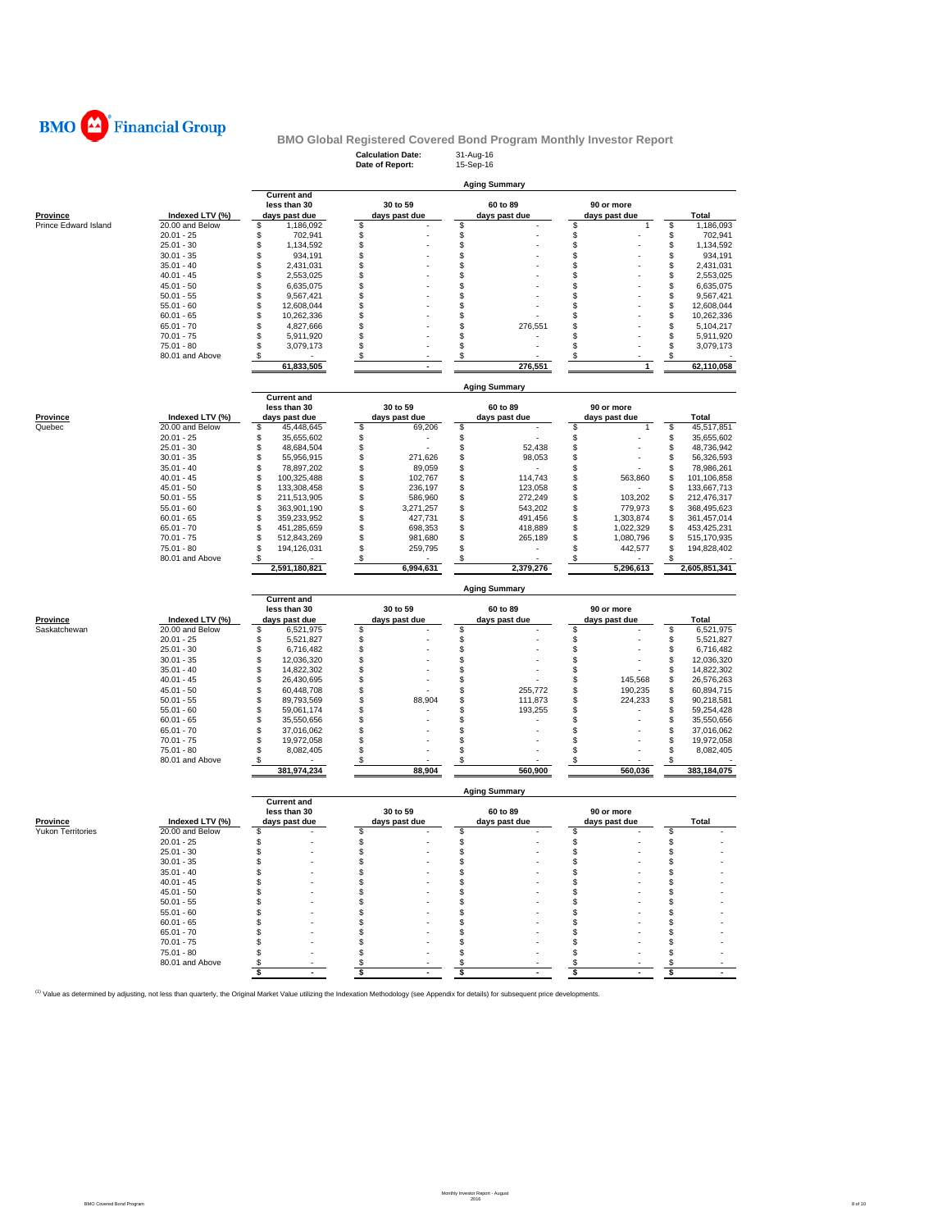

|                          |                 |                                                     | <b>Calculation Date:</b><br>Date of Report: | 31-Aug-16<br>15-Sep-16    |                             |                   |  |  |  |  |
|--------------------------|-----------------|-----------------------------------------------------|---------------------------------------------|---------------------------|-----------------------------|-------------------|--|--|--|--|
|                          |                 |                                                     | <b>Aging Summary</b>                        |                           |                             |                   |  |  |  |  |
| <b>Province</b>          | Indexed LTV (%) | <b>Current and</b><br>less than 30<br>days past due | 30 to 59<br>days past due                   | 60 to 89<br>days past due | 90 or more<br>days past due | Total             |  |  |  |  |
| Prince Edward Island     | 20.00 and Below | S<br>1,186,092                                      | \$                                          | \$                        | \$<br>1                     | \$<br>1,186,093   |  |  |  |  |
|                          | $20.01 - 25$    | 702,941<br>\$                                       | \$                                          | \$                        | \$                          | 702,941<br>\$     |  |  |  |  |
|                          | $25.01 - 30$    | 1.134.592<br>S                                      | \$                                          | \$                        | \$                          | \$<br>1,134,592   |  |  |  |  |
|                          | $30.01 - 35$    | \$<br>934,191                                       | \$                                          | \$                        | \$                          | \$<br>934,191     |  |  |  |  |
|                          | $35.01 - 40$    | \$<br>2,431,031                                     | \$                                          | \$                        | \$                          | \$<br>2,431,031   |  |  |  |  |
|                          | $40.01 - 45$    | \$<br>2,553,025                                     | \$                                          | \$                        | \$                          | \$<br>2,553,025   |  |  |  |  |
|                          | $45.01 - 50$    | S<br>6,635,075                                      | S                                           | \$                        | \$                          | \$<br>6,635,075   |  |  |  |  |
|                          |                 |                                                     |                                             |                           |                             |                   |  |  |  |  |
|                          | $50.01 - 55$    | 9,567,421<br>\$                                     | \$                                          | \$                        | \$                          | \$<br>9,567,421   |  |  |  |  |
|                          | $55.01 - 60$    | S<br>12,608,044                                     | \$                                          | \$                        | \$                          | \$<br>12,608,044  |  |  |  |  |
|                          | $60.01 - 65$    | \$<br>10,262,336                                    | S                                           | \$                        | \$                          | \$<br>10,262,336  |  |  |  |  |
|                          | $65.01 - 70$    | \$<br>4,827,666                                     | \$                                          | \$<br>276,551             | \$                          | \$<br>5,104,217   |  |  |  |  |
|                          | $70.01 - 75$    | \$<br>5,911,920                                     | \$                                          | \$                        | \$                          | \$<br>5,911,920   |  |  |  |  |
|                          | $75.01 - 80$    | S<br>3,079,173                                      | S                                           | \$                        | \$                          | \$<br>3,079,173   |  |  |  |  |
|                          |                 |                                                     |                                             | \$                        | \$                          | \$                |  |  |  |  |
|                          | 80.01 and Above | \$<br>61,833,505                                    | \$<br>$\overline{a}$                        | 276,551                   | 1                           | 62,110,058        |  |  |  |  |
|                          |                 |                                                     |                                             |                           |                             |                   |  |  |  |  |
|                          |                 | <b>Current and</b>                                  |                                             | <b>Aging Summary</b>      |                             |                   |  |  |  |  |
|                          |                 | less than 30                                        | 30 to 59                                    | 60 to 89                  | 90 or more                  |                   |  |  |  |  |
| <b>Province</b>          | Indexed LTV (%) | days past due                                       | days past due                               | days past due             | days past due               | Total             |  |  |  |  |
| Quebec                   | 20.00 and Below | 45,448,645<br>\$                                    | \$<br>69,206                                | \$                        | \$<br>1                     | \$<br>45,517,851  |  |  |  |  |
|                          | $20.01 - 25$    | \$<br>35,655,602                                    | \$                                          | \$                        | \$                          | \$<br>35,655,602  |  |  |  |  |
|                          | $25.01 - 30$    | \$                                                  | \$                                          | \$                        | \$                          | \$                |  |  |  |  |
|                          |                 | 48,684,504                                          |                                             | 52,438                    |                             | 48,736,942        |  |  |  |  |
|                          | $30.01 - 35$    | S<br>55,956,915                                     | \$<br>271,626                               | \$<br>98,053              | \$                          | \$<br>56,326,593  |  |  |  |  |
|                          | $35.01 - 40$    | \$<br>78,897,202                                    | \$<br>89,059                                | \$                        | \$                          | \$<br>78,986,261  |  |  |  |  |
|                          | $40.01 - 45$    | \$<br>100,325,488                                   | \$<br>102,767                               | \$<br>114,743             | \$<br>563,860               | \$<br>101,106,858 |  |  |  |  |
|                          | $45.01 - 50$    | \$<br>133,308,458                                   | \$<br>236,197                               | \$<br>123,058             | \$                          | \$<br>133,667,713 |  |  |  |  |
|                          | $50.01 - 55$    | \$<br>211,513,905                                   | \$<br>586,960                               | \$<br>272,249             | \$<br>103,202               | \$<br>212,476,317 |  |  |  |  |
|                          | $55.01 - 60$    | \$<br>363,901,190                                   | \$<br>3,271,257                             | \$<br>543,202             | \$<br>779,973               | \$<br>368,495,623 |  |  |  |  |
|                          | $60.01 - 65$    | \$                                                  | \$                                          | \$<br>491,456             |                             | 361,457,014       |  |  |  |  |
|                          |                 | 359,233,952                                         | 427,731                                     |                           | \$<br>1,303,874             | \$                |  |  |  |  |
|                          | $65.01 - 70$    | S<br>451,285,659                                    | \$<br>698,353                               | \$<br>418,889             | \$<br>1,022,329             | \$<br>453,425,231 |  |  |  |  |
|                          | $70.01 - 75$    | \$<br>512,843,269                                   | \$<br>981,680                               | \$<br>265,189             | \$<br>1,080,796             | \$<br>515,170,935 |  |  |  |  |
|                          | $75.01 - 80$    | \$<br>194,126,031                                   | \$<br>259,795                               | \$                        | \$<br>442,577               | \$<br>194,828,402 |  |  |  |  |
|                          | 80.01 and Above | \$                                                  | \$                                          | \$                        | \$                          | \$                |  |  |  |  |
|                          |                 | 2,591,180,821                                       | 6,994,631                                   | 2,379,276                 | 5,296,613                   | 2,605,851,341     |  |  |  |  |
|                          |                 |                                                     |                                             | <b>Aging Summary</b>      |                             |                   |  |  |  |  |
|                          |                 | <b>Current and</b><br>less than 30                  | 30 to 59                                    | 60 to 89                  | 90 or more                  |                   |  |  |  |  |
| <b>Province</b>          | Indexed LTV (%) | days past due                                       | days past due                               | days past due             | days past due               | Total             |  |  |  |  |
|                          |                 | S                                                   | \$                                          | \$                        | \$                          |                   |  |  |  |  |
| Saskatchewan             | 20.00 and Below | 6,521,975                                           |                                             |                           |                             | \$<br>6,521,975   |  |  |  |  |
|                          | $20.01 - 25$    | 5,521,827<br>S                                      | \$                                          | \$                        | \$                          | \$<br>5,521,827   |  |  |  |  |
|                          | $25.01 - 30$    | 6,716,482<br>\$                                     | \$                                          | \$                        | \$                          | \$<br>6,716,482   |  |  |  |  |
|                          | $30.01 - 35$    | S<br>12,036,320                                     | \$                                          | \$                        | \$                          | \$<br>12,036,320  |  |  |  |  |
|                          | $35.01 - 40$    | \$<br>14,822,302                                    | \$                                          | \$                        | \$                          | \$<br>14,822,302  |  |  |  |  |
|                          | $40.01 - 45$    | \$<br>26,430,695                                    | \$                                          | \$                        | \$<br>145,568               | \$<br>26,576,263  |  |  |  |  |
|                          | $45.01 - 50$    | \$<br>60,448,708                                    | \$                                          | \$<br>255,772             | \$<br>190,235               | \$<br>60,894,715  |  |  |  |  |
|                          | $50.01 - 55$    | \$<br>89,793,569                                    | \$<br>88,904                                | \$<br>111,873             | \$<br>224,233               | \$<br>90,218,581  |  |  |  |  |
|                          |                 | \$                                                  | S                                           | \$                        |                             | \$                |  |  |  |  |
|                          | $55.01 - 60$    | 59,061,174                                          |                                             | 193,255                   | \$                          | 59,254,428        |  |  |  |  |
|                          | $60.01 - 65$    | \$<br>35,550,656                                    | \$                                          | \$                        | \$                          | \$<br>35,550,656  |  |  |  |  |
|                          | $65.01 - 70$    | \$<br>37,016,062                                    | \$                                          | \$                        | \$                          | \$<br>37,016,062  |  |  |  |  |
|                          | $70.01 - 75$    | \$<br>19,972,058                                    | S                                           | \$                        | \$                          | \$<br>19,972,058  |  |  |  |  |
|                          | 75.01 - 80      | \$<br>8,082,405                                     | \$                                          | \$                        | \$                          | \$<br>8,082,405   |  |  |  |  |
|                          | 80.01 and Above | \$                                                  | \$                                          | \$                        | \$                          | \$                |  |  |  |  |
|                          |                 | 381,974,234                                         | 88,904                                      | 560,900                   | 560,036                     | 383,184,075       |  |  |  |  |
|                          |                 | <b>Current and</b>                                  |                                             |                           |                             |                   |  |  |  |  |
|                          |                 |                                                     |                                             | 60 to 89                  |                             |                   |  |  |  |  |
|                          |                 | less than 30                                        | 30 to 59                                    |                           | 90 or more                  |                   |  |  |  |  |
| <b>Province</b>          | Indexed LTV (%) | days past due                                       | days past due                               | days past due             | days past due               | Total             |  |  |  |  |
| <b>Yukon Territories</b> | 20.00 and Below | \$                                                  | \$                                          | \$                        | \$                          | \$                |  |  |  |  |
|                          | $20.01 - 25$    |                                                     |                                             | ¢                         |                             |                   |  |  |  |  |
|                          | $25.01 - 30$    | \$                                                  | S                                           | S                         | \$                          | \$                |  |  |  |  |
|                          | $30.01 - 35$    | \$                                                  | S                                           | S                         | \$                          | \$                |  |  |  |  |
|                          | $35.01 - 40$    | \$                                                  | S                                           | S                         | \$                          | \$                |  |  |  |  |
|                          |                 |                                                     | S                                           | S                         | \$                          | \$                |  |  |  |  |
|                          |                 |                                                     |                                             |                           |                             | \$                |  |  |  |  |
|                          | $40.01 - 45$    | \$                                                  |                                             |                           |                             |                   |  |  |  |  |
|                          | $45.01 - 50$    | S                                                   | S                                           | S                         | S                           |                   |  |  |  |  |
|                          | $50.01 - 55$    | S                                                   | S                                           | S                         | \$                          | \$                |  |  |  |  |
|                          | $55.01 - 60$    | \$                                                  | S                                           | \$.                       | \$.                         | \$                |  |  |  |  |
|                          | $60.01 - 65$    | S                                                   | s                                           | \$                        | \$                          | \$                |  |  |  |  |
|                          | $65.01 - 70$    | S                                                   | \$                                          | \$                        | \$                          | \$                |  |  |  |  |
|                          | $70.01 - 75$    |                                                     | S                                           | \$                        | \$                          |                   |  |  |  |  |
|                          |                 |                                                     |                                             |                           |                             | \$                |  |  |  |  |
|                          | 75.01 - 80      | S                                                   | S                                           | \$                        | \$                          | \$                |  |  |  |  |
|                          | 80.01 and Above | S<br>\$                                             | S<br>s                                      | S<br>\$                   | S<br>\$                     | \$<br>\$          |  |  |  |  |

<sup>(1)</sup> Value as determined by adjusting, not less than quarterly, the Original Market Value utilizing the Indexation Methodology (see Appendix for details) for subsequent price developments.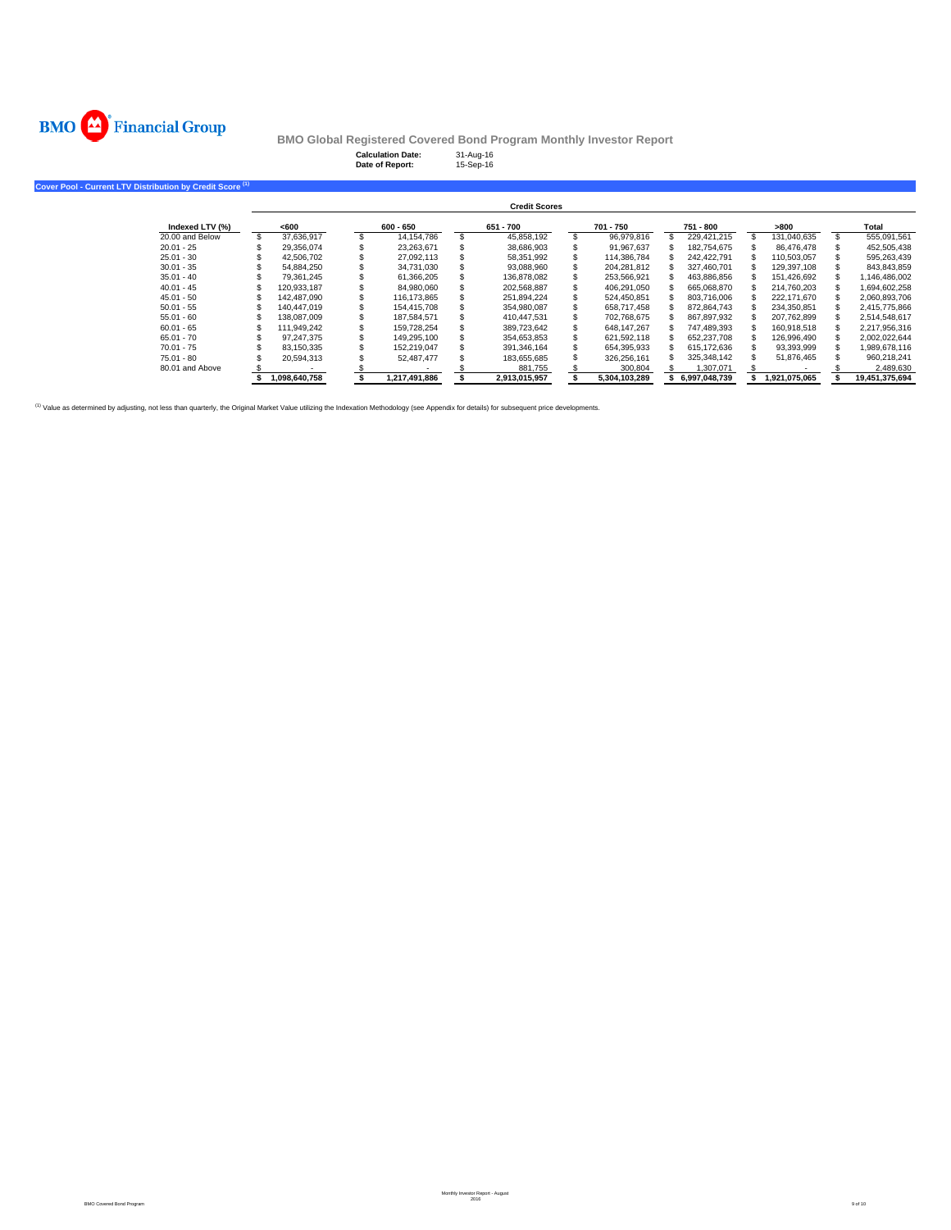

**Cover Pool - Current LTV Distribution by Credit Score (1)**

**BMO Global Registered Covered Bond Program Monthly Investor Report**

| <b>Calculation Date:</b><br>Date of Report: | 31-Aug-16<br>15-Sep-16 |  |
|---------------------------------------------|------------------------|--|
|                                             |                        |  |
|                                             |                        |  |

|                 |               |               | <b>Credit Scores</b> |               |               |               |                |
|-----------------|---------------|---------------|----------------------|---------------|---------------|---------------|----------------|
| Indexed LTV (%) | <600          | 600 - 650     | 651 - 700            | 701 - 750     | 751 - 800     | >800          | Total          |
| 20.00 and Below | 37.636.917    | 14.154.786    | 45.858.192           | 96.979.816    | 229.421.215   | 131.040.635   | 555.091.561    |
| $20.01 - 25$    | 29.356.074    | 23.263.671    | 38,686,903           | 91.967.637    | 182.754.675   | 86.476.478    | 452,505,438    |
| $25.01 - 30$    | 42.506.702    | 27,092,113    | 58,351,992           | 114.386.784   | 242.422.791   | 110.503.057   | 595,263,439    |
| $30.01 - 35$    | 54.884.250    | 34.731.030    | 93.088.960           | 204.281.812   | 327.460.701   | 129.397.108   | 843,843,859    |
| $35.01 - 40$    | 79.361.245    | 61,366,205    | 136,878,082          | 253.566.921   | 463,886,856   | 151,426,692   | 1,146,486,002  |
| $40.01 - 45$    | 120,933,187   | 84.980.060    | 202.568.887          | 406.291.050   | 665.068.870   | 214.760.203   | 1.694.602.258  |
| $45.01 - 50$    | 142.487.090   | 116.173.865   | 251.894.224          | 524.450.851   | 803,716,006   | 222.171.670   | 2,060,893,706  |
| $50.01 - 55$    | 140.447.019   | 154.415.708   | 354.980.087          | 658.717.458   | 872.864.743   | 234,350,851   | 2.415.775.866  |
| $55.01 - 60$    | 138.087.009   | 187.584.571   | 410.447.531          | 702.768.675   | 867.897.932   | 207.762.899   | 2,514,548,617  |
| $60.01 - 65$    | 111.949.242   | 159.728.254   | 389.723.642          | 648.147.267   | 747.489.393   | 160.918.518   | 2.217.956.316  |
| $65.01 - 70$    | 97.247.375    | 149.295.100   | 354.653.853          | 621.592.118   | 652.237.708   | 126.996.490   | 2.002.022.644  |
| $70.01 - 75$    | 83.150.335    | 152.219.047   | 391,346,164          | 654.395.933   | 615,172,636   | 93,393,999    | 989,678,116    |
| $75.01 - 80$    | 20.594.313    | 52.487.477    | 183.655.685          | 326.256.161   | 325.348.142   | 51.876.465    | 960.218.241    |
| 80.01 and Above |               |               | 881.755              | 300,804       | 1,307,071     |               | 2,489,630      |
|                 | 1.098.640.758 | 1.217.491.886 | 2.913.015.957        | 5.304.103.289 | 6.997.048.739 | 1.921.075.065 | 19.451.375.694 |

<sup>(1)</sup> Value as determined by adjusting, not less than quarterly, the Original Market Value utilizing the Indexation Methodology (see Appendix for details) for subsequent price developments.